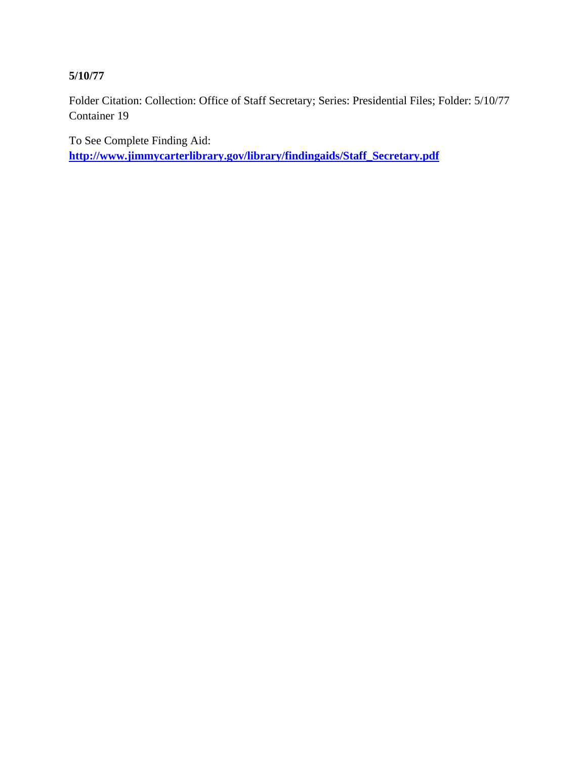**5/10/77** 

Folder Citation: Collection: Office of Staff Secretary; Series: Presidential Files; Folder: 5/10/77 Container 19

To See Complete Finding Aid: **[http://www.jimmycarterlibrary.gov/library/findingaids/Staff\\_Secretary.pdf](http://www.jimmycarterlibrary.gov/library/findingaids/Staff_Secretary.pdf)**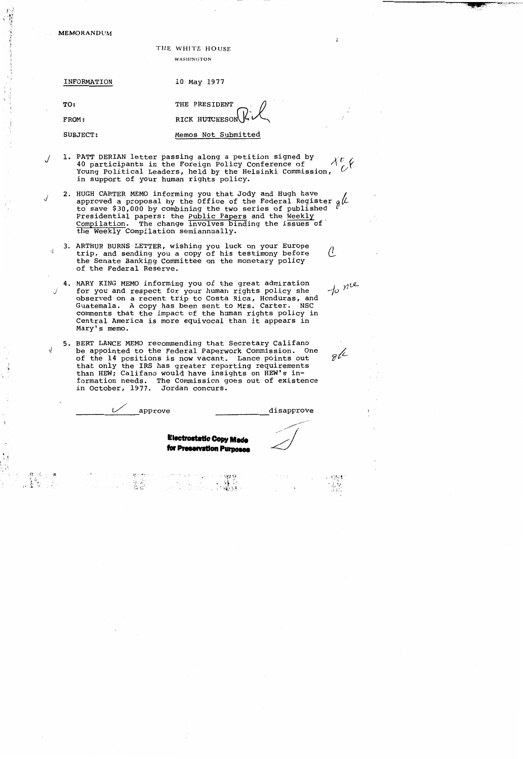'

 $\ddot{\phantom{1}}$ •\ .. <sup>~</sup>  $\mathbf{r}$  .

 $\sum_{i=1}^N \tilde{H}_{i,i}$ 

' ··~

 $~\tau$ ,, ' '

MEMORANDUM

INFORMATION

TO:

FROM:

SUBJECT:

THE WHITE HOUSE

WASHINGTON

10 May 1977

THE PRESIDENT

RICK HUTCHESON

Memos Not Submitted

J

·J

- **1. PATT** DERIAN letter passing along a petition signed by  $\chi^2C$  40 participants in the Foreign Policy Conference of  $\chi^2D$ 40 participants in the Foreign Policy Conference of Young Political Leaders, held by the Helsinki Commission, in support of your human rights policy.
- 2. HUGH CARTER MEMO informing you that Jody and Hugh have 1 approved a proposal by the Office of the Federal Register  $q l$ . to save \$30,000 by combining the two series of published Presidential papers: the Public Papers and the Weekly Compilation. The change involves binding the issues of the Weekly Compilation semiannually.
- 3. ARTHUR BURNS LETTER, wishing you luck on your Europe trip, and sending you a copy of his testimony before the Senate Banking Committee on the monetary policy of the Federal Reserve.
- 4. MARY KING MEMO informing you of the great admiration<br>for you and respect for your human rights nolise the set of the position for you and respect for your human rights policy she observed on a recent trip to Costa Rica, Honduras, and Guatemala. A copy has been sent to Mrs. Carter. NSC comments that the impact of the human rights policy in Central America is more equivocal than it appears in Mary's memo.
- 5. BERT LANCE MEMO recommending that Secretary Califano  $\sqrt{ }$  be appointed to the Federal Paperwork Commission. One of the 14 positions is now vacant. Lance points out that only the IRS has greater reporting requirements than HEW; Califano would have insights on HEW's information needs. The Commission goes out of existence in October, 1977. Jordan concurs.

example of the supprove disapprove disapprove **Electrostatic Copy Made** for Preservation Purposes

'~~ ~~ ~ {{' 11'"1

. yr~· ·~~ ;·, • )~ -~~!:' ..

: • 11. ·~' . '~ .. · \ : ,:~:;\_·:·· ~ '

 $\sim 10^{11}$ 

 $\mathcal{F}^{\text{c}}_{\text{c}}$  ,  $\mathcal{F}^{\text{c}}_{\text{c}}$ 

 $\cdots$ 

gh

 $\left($ <sup> $\right)$ </sup>

 $\label{eq:2} \frac{1}{2}\sum_{i=1}^n\frac{1}{2}\sum_{j=1}^n\frac{1}{2}\sum_{j=1}^n\frac{1}{2}\sum_{j=1}^n\frac{1}{2}\sum_{j=1}^n\frac{1}{2}\sum_{j=1}^n\frac{1}{2}\sum_{j=1}^n\frac{1}{2}\sum_{j=1}^n\frac{1}{2}\sum_{j=1}^n\frac{1}{2}\sum_{j=1}^n\frac{1}{2}\sum_{j=1}^n\frac{1}{2}\sum_{j=1}^n\frac{1}{2}\sum_{j=1}^n\frac{1}{2}\sum_{j=1}^n\frac{$ 

.<br>مصن*ع*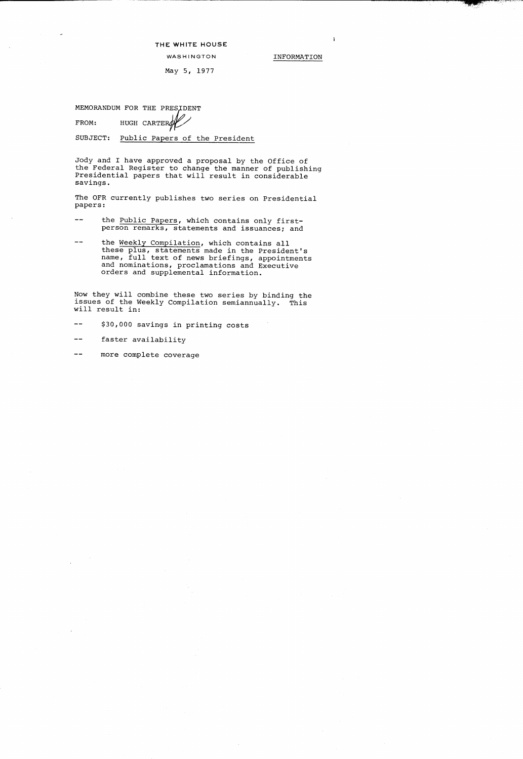#### **THE WHITE HOUSE**

#### WASHINGTON INFORMATION

 $\mathbf{I}$ 

May 5, 1977

# MEMORANDUM FOR THE PRESIDENT

| FROM: |  | HUGH CARTER |  |
|-------|--|-------------|--|
|-------|--|-------------|--|

SUBJECT: Public Papers of the President

Jody and I have approved a proposal by the Office of the Federal Register to change the manner of publishing Presidential papers that will result in considerable savings.

The OFR currently publishes two series on Presidential papers:

 $-$ \$30,000 savings in printing costs

faster availability --

more complete coverage --

 $\mathcal{L}_{\text{eff}}$ 

 $\sim 0.01$ 

 $\sim 30$ 

- the Public Papers, which contains only first- $$ person remarks, statements and issuances; and
- the Weekly Compilation, which contains all these plus, statements made in the President's name, full text of news briefings, appointments and nominations, proclamations and Executive orders and supplemental information.

Now they will combine these two series by binding the issues of the Weekly Compilation semiannually. This will result in: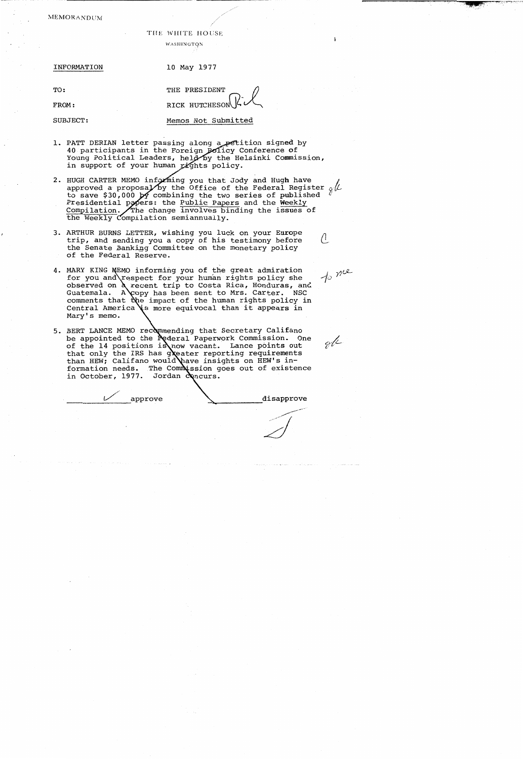MEMORANDUM

THE WHITE HOUSE

WASHINGTQN

INFORMATION 10 May 1977

TO:

THE PRESIDENT RICK HUTCHESON

FROM:

SUBJECT: Memos Not Submitted

- 1. PATT DERIAN letter passing along a petition signed by 40 participants in the Foreign Bolicy Conference of Young Political Leaders, held by the Helsinki Commission, in support of your human rights policy.
- 2. HUGH CARTER MEMO informing you that Jody and Hugh have  $\frac{1}{2}$ approved a proposal by the Office of the Federal Register  $q/\mathcal{L}$ to save \$30,000 by combining the two series of published Presidential papers: the Public Papers and the Weekly Compilation. The change involves binding the issues of the Weekly Compilation semiannually.
- 3. ARTHUR BURNS LETTER, wishing you luck on your Europe<br>trip, and sending you a copy of his testimony before trip, and sending you a copy of his testimony before the Senate Banking Committee on the monetary policy of the Federal Reserve.
- 4. MARY KING NEMO informing you of the great admiration *I will*<br>for you and respect for your human rights and in the *VIL* for you and respect for your human rights policy she observed on  $\lambda$  recent trip to Costa Rica, Honduras, and Guatemala. A copy has been sent to Mrs. Carter. NSC comments that the impact of the human rights policy in Central America is more equivocal than it appears in Mary's memo.
- 5. BERT LANCE MEMO recommending that Secretary Califano be appointed to the **R**ederal Paperwork Commission. One be appointed to the rediction uperwork commission. One that only the IRS has greater reporting requirements than HEW; Califano would have insights on HEW's information needs. The Commission goes out of existence in October, 1977. Jordan

| approve                  | disapprove                        |
|--------------------------|-----------------------------------|
| $\overline{\phantom{a}}$ | <b>Contract Contract Contract</b> |

 $\partial t$ 

. \_,.. j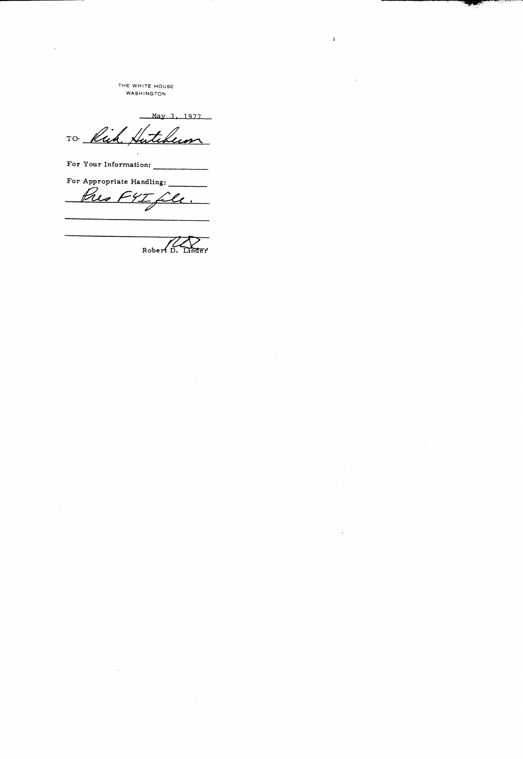THE WHITE HOUSE **WASHINGTON** 

**All Angeles** 

 $\Lambda$ 

May 3, 1977  $t$ TO Rich

For Your Information:

For Appropriate Handling:

tres  $\mathcal{L}_{\boldsymbol{\ell}}$  ,

Robert D. Linder

a sa karang sa kalawang sa karang sa karang sa karang sa karang sa karang sa karang sa karang sa karang sa kar<br>Mga karang sa karang sa karang sa karang sa karang sa karang sa karang sa karang sa karang sa karang sa karang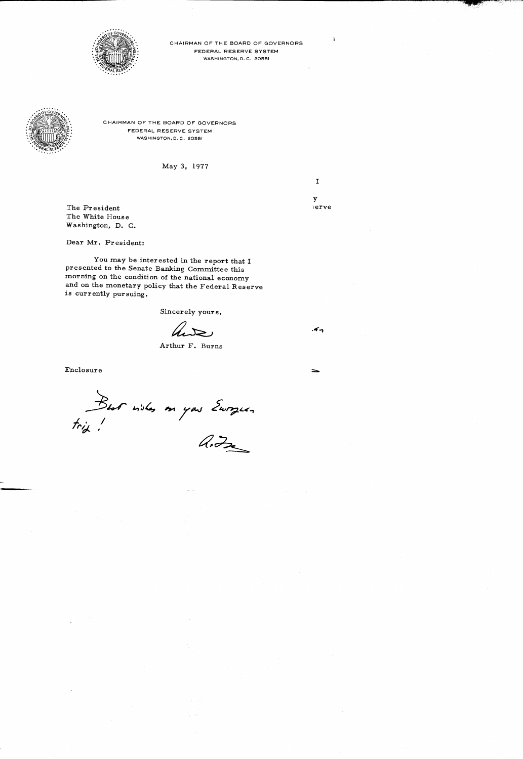

CHAIRMAN OF THE BOARD OF GOVERNORS FEDERAL RESERVE SYSTEM WASHINGTON, D. C. 20551



CHAIRMAN OF THE BOARD OF GOVERNORS FEDERAL RESERVE SYSTEM WASHINGTON, D. C. 20551

The President The White House Washington, D. C.

Dear Mr. President:

May 3, 1977

You may be interested in the report that I presented to the Senate Banking Committee this morning on the condition of the national economy and on the monetary policy that the Federal Reserve is currently pursuing.

Sincerely yours,

Arthur F. Burns

Enclosure

I I

I

y

 $\sqrt{2}$ 

1erve

. $\prec$ 

 $\label{eq:2.1} \frac{1}{\sqrt{2\pi}}\int_{0}^{\infty}\frac{1}{\sqrt{2\pi}}\left(\frac{1}{\sqrt{2\pi}}\right)^{2\alpha} \frac{1}{\sqrt{2\pi}}\frac{1}{\sqrt{2\pi}}\frac{1}{\sqrt{2\pi}}\frac{1}{\sqrt{2\pi}}\frac{1}{\sqrt{2\pi}}\frac{1}{\sqrt{2\pi}}\frac{1}{\sqrt{2\pi}}\frac{1}{\sqrt{2\pi}}\frac{1}{\sqrt{2\pi}}\frac{1}{\sqrt{2\pi}}\frac{1}{\sqrt{2\pi}}\frac{1}{\sqrt{2\pi}}\frac{1}{\sqrt{2\pi}}$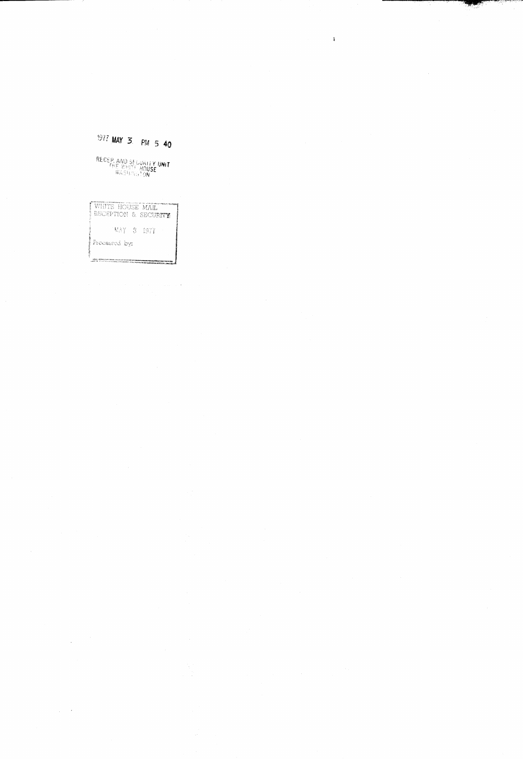# 1977 MAY 3 PM 5 40

RECEP. AND SELURITY UNIT

| WHITE HOUSE MAIL |            | RECEPTION & SECURITY |  |
|------------------|------------|----------------------|--|
|                  | WAY 3 1977 |                      |  |
| Processed by:    |            |                      |  |

<u> Santana (n. 1888)</u><br>1870 - Papa Barat, Papa Barat, prinsipala (n. 1872)<br>1871 - Papa Barat, prinsipala (n. 1872)

 $\Lambda$ 

 $\label{eq:2.1} \frac{1}{\sqrt{2}}\int_{0}^{\infty}\frac{1}{\sqrt{2\pi}}\left(\frac{1}{\sqrt{2\pi}}\right)^{2\alpha} \frac{1}{\sqrt{2\pi}}\frac{1}{\sqrt{2\pi}}\int_{0}^{\infty}\frac{1}{\sqrt{2\pi}}\frac{1}{\sqrt{2\pi}}\frac{1}{\sqrt{2\pi}}\frac{1}{\sqrt{2\pi}}\frac{1}{\sqrt{2\pi}}\frac{1}{\sqrt{2\pi}}\frac{1}{\sqrt{2\pi}}\frac{1}{\sqrt{2\pi}}\frac{1}{\sqrt{2\pi}}\frac{1}{\sqrt{2\pi}}\frac{1}{$ 

 $\label{eq:2.1} \frac{1}{\sqrt{2}}\int_{\mathbb{R}^3}\frac{1}{\sqrt{2}}\left(\frac{1}{\sqrt{2}}\right)^2\frac{1}{\sqrt{2}}\left(\frac{1}{\sqrt{2}}\right)^2\frac{1}{\sqrt{2}}\left(\frac{1}{\sqrt{2}}\right)^2\frac{1}{\sqrt{2}}\left(\frac{1}{\sqrt{2}}\right)^2.$ 

 $\label{eq:2} \frac{1}{\sqrt{2}}\int_{\mathbb{R}^3}\frac{1}{\sqrt{2}}\left(\frac{1}{\sqrt{2}}\right)^2\frac{1}{\sqrt{2}}\left(\frac{1}{\sqrt{2}}\right)^2\frac{1}{\sqrt{2}}\left(\frac{1}{\sqrt{2}}\right)^2.$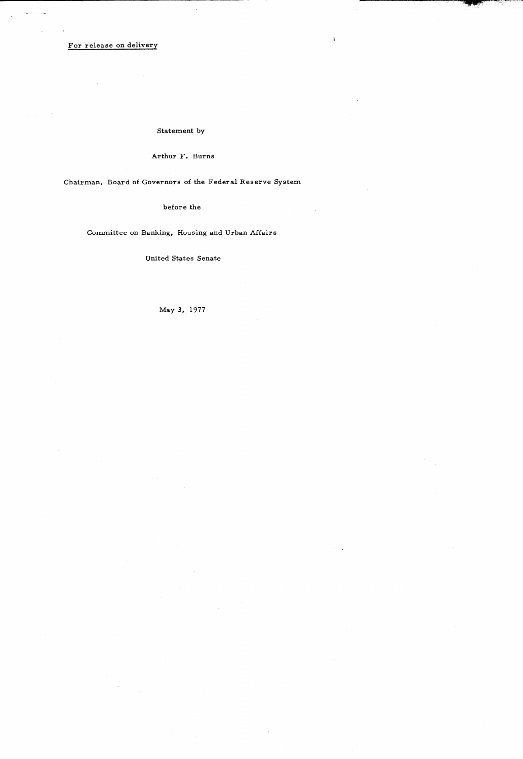For release on delivery

Statement by

 $\pmb{\downarrow}$ 

Arthur F. Burns

Chairman, Board of Governors of the Federal Reserve System

before the

Committee on Banking, Housing and Urban Affairs

United States Senate

May 3, 1977

 $\mathcal{L}(\mathcal{L}(\mathcal{L}(\mathcal{L}(\mathcal{L}(\mathcal{L}(\mathcal{L}(\mathcal{L}(\mathcal{L}(\mathcal{L}(\mathcal{L}(\mathcal{L}(\mathcal{L}(\mathcal{L}(\mathcal{L}(\mathcal{L}(\mathcal{L}(\mathcal{L}(\mathcal{L}(\mathcal{L}(\mathcal{L}(\mathcal{L}(\mathcal{L}(\mathcal{L}(\mathcal{L}(\mathcal{L}(\mathcal{L}(\mathcal{L}(\mathcal{L}(\mathcal{L}(\mathcal{L}(\mathcal{L}(\mathcal{L}(\mathcal{L}(\mathcal{L}(\mathcal{L}(\mathcal{$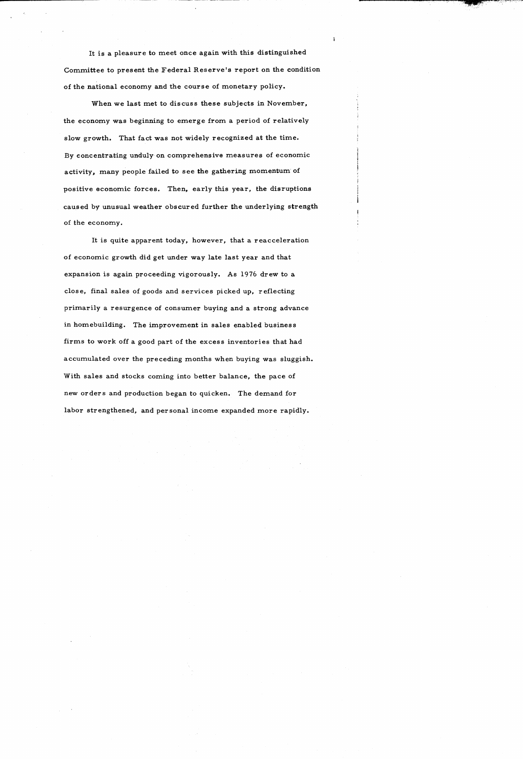It is a pleasure to meet once again with this distinguished Committee to present the Federal Reserve's report on the condition of the national economy and the course of monetary policy.

When we last met to discuss these subjects in November, the economy was beginning to emerge from a period of relatively slow growth. That fact was not widely recognized at the time. By concentrating unduly on comprehensive measures of economic activity, many people failed to see the gathering momentum of positive economic forces. Then, early this year, the disruptions caused by unusual weather obscured further the underlying strength of the economy.

It is quite apparent today, however, that a reacceleration of economic growth did get under way late last year and that expansion is again proceeding vigorously. As 1976 drew to a close, final sales of goods and services picked up, reflecting primarily a resurgence of consumer buying and a strong advance in homebuilding. The improvement in sales enabled business firms to work off a good part of the excess inventories that had accumulated over the preceding months when buying was sluggish. With sales and stocks coming into better balance, the pace of new orders and production began to quicken. The demand for labor strengthened, and personal income expanded more rapidly.

 $\mathcal{L}(\mathcal{A})$ 

 $\label{eq:2.1} \mathcal{L}_{\mathcal{A}}=\mathcal{L}_{\mathcal{A}}\left(\mathcal{L}_{\mathcal{A}}\right) \otimes \mathcal{L}_{\mathcal{A}}\left(\mathcal{L}_{\mathcal{A}}\right)$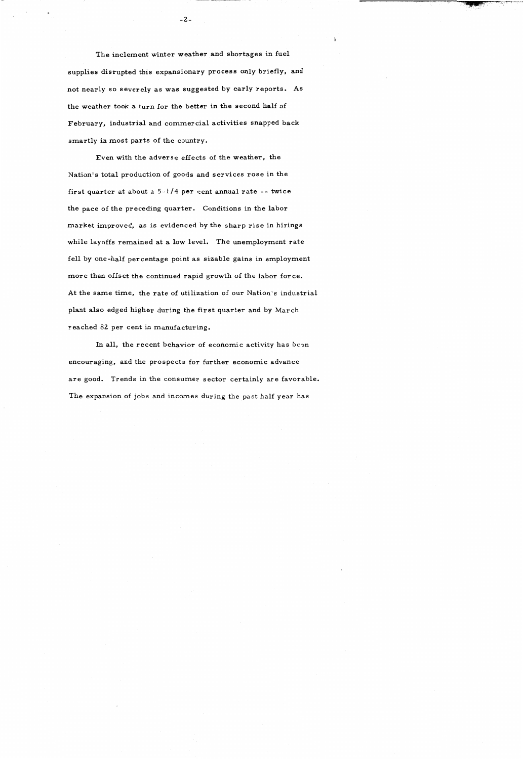-2-

 $\mathcal{O}(\mathcal{O}_\mathcal{O})$  . The  $\mathcal{O}_\mathcal{O}$ 

The inclement winter weather and shortages in fuel supplies disrupted this expansionary process only briefly, and not nearly so severely as was suggested by early reports. As the weather took a turn for the better in the second half of February, industrial and commercial activities snapped back smartly in most parts of the country.

Even with the adverse effects of the weather, the Nation's total production of goods and services rose in the first quarter at about a 5-1/4 per cent annual rate-- twice the pace of the preceding quarter. Conditions in the labor market improved, as is evidenced by the sharp rise in hirings while layoffs remained at a low level. The unemployment rate fell by one-half percentage point as sizable gains in employment more than offset the continued rapid growth of the labor force. At the same time, the rate of utilization of our Nation's industrial plant also edged higher during the first quarter and by March reached 82 per cent in manufacturing.

In all, the recent behavior of economic activity has been encouraging, and the prospects for further economic advance are good. Trends in the consumer sector certainly are favorable. The expansion of jobs and incomes during the past half year has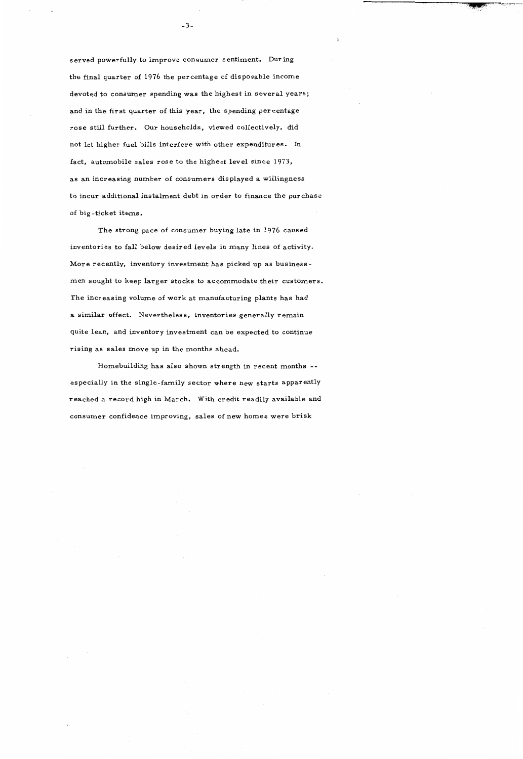served powerfully to improve consumer sentiment. During the final quarter of 1976 the percentage of disposable income devoted to consumer spending was the highest in several years; and in the first quarter of this year, the spending percentage rose still further. Our households, viewed collectively, did not let higher fuel bills interfere with other expenditures. In fact, automobile sales rose to the highest level since 1973, as an increasing number of consumers displayed a willingness to incur additional instalment debt in order to finance the purchase of big-ticket items.

The strong pace of consumer buying late in 1976 caused inventories to fall below desired levels in many lines of activity. More recently, inventory investment has picked up as businessmen sought to keep larger stocks to accommodate their customers. The increasing volume of work at manufacturing plants has had a similar effect. Nevertheless, inventories generally remain quite lean, and inventory investment can be expected to continue rising as sales move up in the months ahead.

Homebuilding has also shown strength in recent months -especially in the single-family sector where new starts apparently reached a record high in March. With credit readily available and consumer confidence improving, sales of new homes were brisk

 $-3-$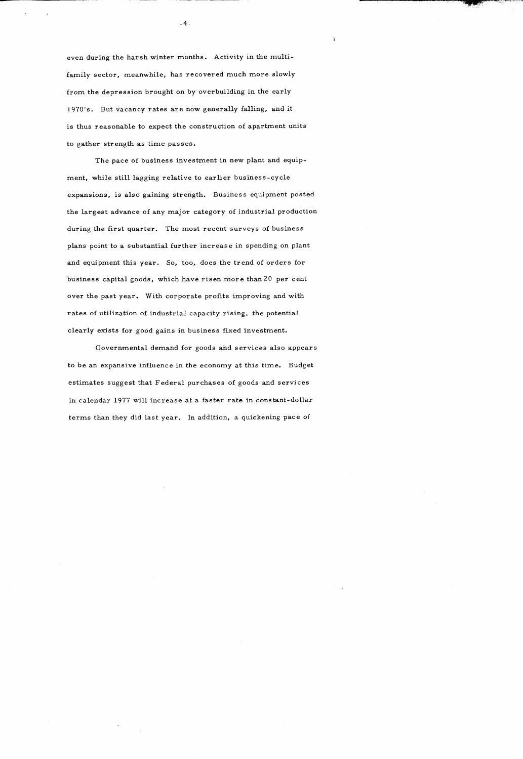even during the harsh winter months. Activity in the multifamily sector, meanwhile, has recovered much more slowly from the depression brought on by overbuilding in the early 1970's. But vacancy rates are now generally falling, and it is thus reasonable to expect the construction of apartment units to gather strength as time passes.

The pace of business investment in new plant and equipment, while still lagging relative to earlier business-cycle expansions, is also gaining strength. Business equipment posted the largest advance of any major category of industrial production during the first quarter. The most recent surveys of business plans point to a substantial further increase in spending on plant and equipment this year. So, too, does the trend of orders for business capital goods, which have risen more than 20 per cent over the past year. With corporate profits improving and with rates of utilization of industrial capacity rising, the potential clearly exists for good gains in business fixed investment.

Governmental demand for goods and services also appears to be an expansive influence in the economy at this time. Budget estimates suggest that Federal purchases of goods and services in calendar 1977 will increase at a faster rate in constant-dollar terms than they did last year. In addition, a quickening pace of

 $-4-$ 

 $\mathbf{I}$ 

 $\label{eq:2.1} \frac{1}{\sqrt{2\pi}}\sum_{i=1}^n\frac{1}{\sqrt{2\pi}}\sum_{i=1}^n\frac{1}{\sqrt{2\pi}}\sum_{i=1}^n\frac{1}{\sqrt{2\pi}}\sum_{i=1}^n\frac{1}{\sqrt{2\pi}}\sum_{i=1}^n\frac{1}{\sqrt{2\pi}}\sum_{i=1}^n\frac{1}{\sqrt{2\pi}}\sum_{i=1}^n\frac{1}{\sqrt{2\pi}}\sum_{i=1}^n\frac{1}{\sqrt{2\pi}}\sum_{i=1}^n\frac{1}{\sqrt{2\pi}}\sum_{i=1}^n\$ 

 $\label{eq:2.1} \mathcal{L}(\mathcal{L}(\mathcal{L})) = \mathcal{L}(\mathcal{L}(\mathcal{L})) = \mathcal{L}(\mathcal{L}(\mathcal{L})) = \mathcal{L}(\mathcal{L}(\mathcal{L})) = \mathcal{L}(\mathcal{L}(\mathcal{L}))$ 

 $\label{eq:2.1} \frac{1}{\sqrt{2\pi}}\int_{0}^{\infty}\frac{1}{\sqrt{2\pi}}\left(\frac{1}{\sqrt{2\pi}}\right)^{2\alpha} \frac{1}{\sqrt{2\pi}}\int_{0}^{\infty}\frac{1}{\sqrt{2\pi}}\left(\frac{1}{\sqrt{2\pi}}\right)^{\alpha} \frac{1}{\sqrt{2\pi}}\frac{1}{\sqrt{2\pi}}\int_{0}^{\infty}\frac{1}{\sqrt{2\pi}}\frac{1}{\sqrt{2\pi}}\frac{1}{\sqrt{2\pi}}\frac{1}{\sqrt{2\pi}}\frac{1}{\sqrt{2\pi}}\frac{1}{\sqrt{2\$ 

 $\label{eq:2.1} \frac{1}{\sqrt{2\pi}}\sum_{i=1}^n\frac{1}{\sqrt{2\pi}}\sum_{i=1}^n\frac{1}{\sqrt{2\pi}}\sum_{i=1}^n\frac{1}{\sqrt{2\pi}}\sum_{i=1}^n\frac{1}{\sqrt{2\pi}}\sum_{i=1}^n\frac{1}{\sqrt{2\pi}}\sum_{i=1}^n\frac{1}{\sqrt{2\pi}}\sum_{i=1}^n\frac{1}{\sqrt{2\pi}}\sum_{i=1}^n\frac{1}{\sqrt{2\pi}}\sum_{i=1}^n\frac{1}{\sqrt{2\pi}}\sum_{i=1}^n\$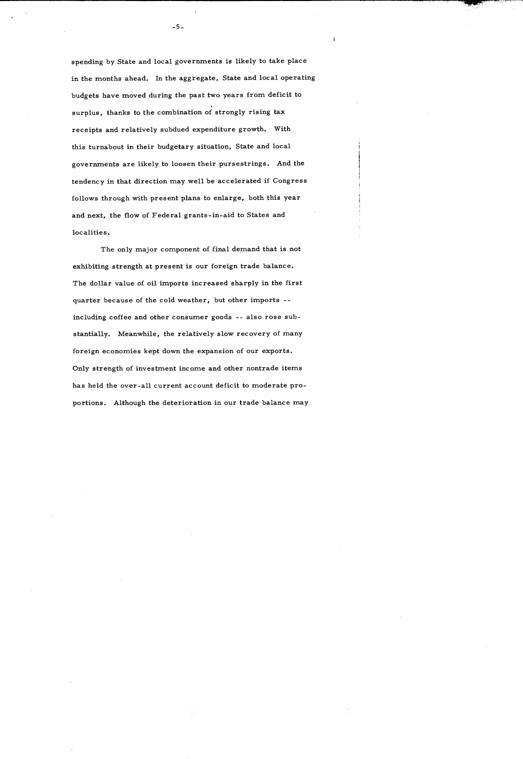spending by State and local governments is likely to take place in the months ahead. In the aggregate, State and local operating budgets have moved during the past two years from deficit to surplus, thanks to the combination of strongly rising tax receipts and relatively subdued expenditure growth. With this turnabout in their budgetary situation, State and local governments are likely to loosen their pursestrings. And the tendency in that direction may well be accelerated if Congress follows through with present plans to enlarge, both this year and next, the flow of Federal grants-in-aid to States and localities.

The only major component of final demand that is not exhibiting strength at present is our foreign trade balance. The dollar value of oil imports increased sharply in the first quarter because of the cold weather, but other imports -including coffee and other consumer goods -- also rose substantially. Meanwhile, the relatively slow recovery of many foreign economies kept down the expansion of our exports. Only strength of investment income and other nontrade items has held the over-all current account deficit to moderate proportions. Although the deterioration in our trade balance may

 $-5-$ 

 $\mathbf{I}$ 

 $\label{eq:3.1} \mathcal{A}^{(1)} = \mathcal{A}^{(1)}$ 

 $\label{eq:2.1} \frac{1}{2}\sum_{i=1}^n\frac{1}{2}\sum_{i=1}^n\frac{1}{2}\sum_{i=1}^n\frac{1}{2}\sum_{i=1}^n\frac{1}{2}\sum_{i=1}^n\frac{1}{2}\sum_{i=1}^n\frac{1}{2}\sum_{i=1}^n\frac{1}{2}\sum_{i=1}^n\frac{1}{2}\sum_{i=1}^n\frac{1}{2}\sum_{i=1}^n\frac{1}{2}\sum_{i=1}^n\frac{1}{2}\sum_{i=1}^n\frac{1}{2}\sum_{i=1}^n\frac{1}{2}\sum_{i=1}^n\$ 

 $\mathcal{O}(\mathcal{O}_\mathcal{A})$ 

 $\label{eq:2.1} \begin{split} \mathcal{L}_{\text{max}}(\mathbf{r},\mathbf{r}) = \mathcal{L}_{\text{max}}(\mathbf{r},\mathbf{r}) \mathcal{L}_{\text{max}}(\mathbf{r},\mathbf{r}) = \mathcal{L}_{\text{max}}(\mathbf{r},\mathbf{r}) \mathcal{L}_{\text{max}}(\mathbf{r},\mathbf{r}) \mathcal{L}_{\text{max}}(\mathbf{r},\mathbf{r}) \mathcal{L}_{\text{max}}(\mathbf{r},\mathbf{r},\mathbf{r}) \mathcal{L}_{\text{max}}(\mathbf{r},\mathbf{r},\mathbf{r}) \mathcal{L}_{\text$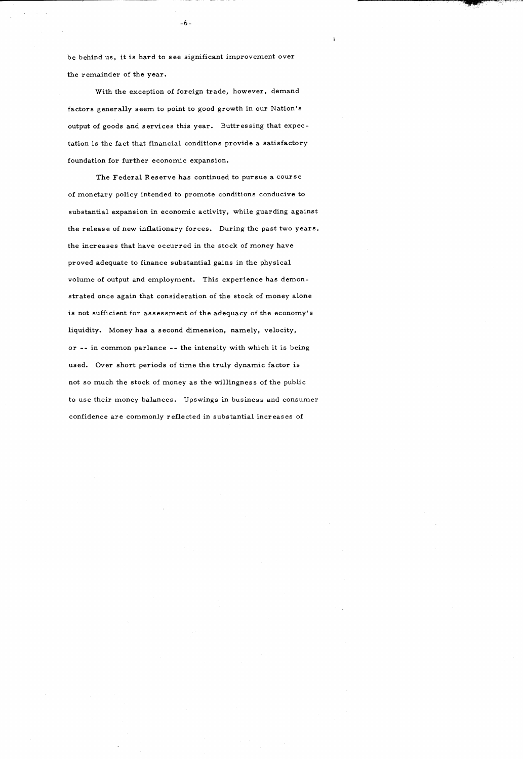-6-

 $\mathcal{L}^{\text{max}}_{\text{max}}$ 

 $\label{eq:2.1} \frac{1}{\sqrt{2}}\int_{\mathbb{R}^3}\frac{1}{\sqrt{2}}\left(\frac{1}{\sqrt{2}}\right)^2\frac{1}{\sqrt{2}}\left(\frac{1}{\sqrt{2}}\right)^2\frac{1}{\sqrt{2}}\left(\frac{1}{\sqrt{2}}\right)^2\frac{1}{\sqrt{2}}\left(\frac{1}{\sqrt{2}}\right)^2.$  $\label{eq:2.1} \mathcal{L}(\mathcal{L}(\mathcal{L})) = \mathcal{L}(\mathcal{L}(\mathcal{L})) = \mathcal{L}(\mathcal{L}(\mathcal{L})) = \mathcal{L}(\mathcal{L}(\mathcal{L})) = \mathcal{L}(\mathcal{L}(\mathcal{L})) = \mathcal{L}(\mathcal{L}(\mathcal{L})) = \mathcal{L}(\mathcal{L}(\mathcal{L})) = \mathcal{L}(\mathcal{L}(\mathcal{L})) = \mathcal{L}(\mathcal{L}(\mathcal{L})) = \mathcal{L}(\mathcal{L}(\mathcal{L})) = \mathcal{L}(\mathcal{L}(\mathcal{L})) = \math$ 

 $\label{eq:2.1} \mathcal{L}=\mathcal{L}(\mathcal{L}^{(1)})\otimes\mathcal{L}^{(2)}$ 

be behind us, it is hard to see significant improvement over the remainder of the year.

With the exception of foreign trade, however, demand factors generally seem to point to good growth in our Nation's output of goods and services this year. Buttressing that expectation is the fact that financial conditions provide a satisfactory foundation for further economic expansion.

The Federal Reserve has continued to pursue a course of monetary policy intended to promote conditions conducive to substantial expansion in economic activity, while guarding against the release of new inflationary forces. During the past two years, the increases that have occurred in the stock of money have proved adequate to finance substantial gains in the physical volume of output and employment. This experience has demonstrated once again that consideration of the stock of money alone is not sufficient for assessment of the adequacy of the economy's liquidity. Money has a second dimension, namely, velocity, or -- in common parlance -- the intensity with which it is being used. Over short periods of time the truly dynamic factor is not so much the stock of money as the willingness of the public to use their money balances. Upswings in business and consumer confidence are commonly reflected in substantial increases of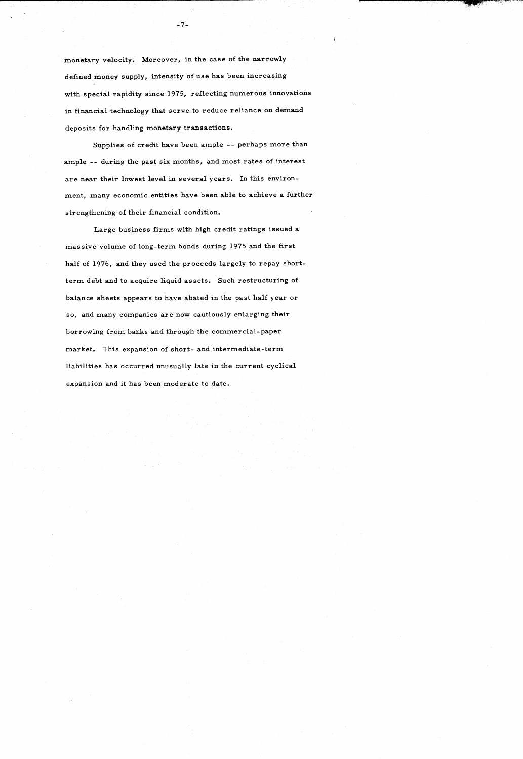monetary velocity. Moreover, in the case of the narrowly defined money supply, intensity of use has been increasing with special rapidity since 1975, reflecting numerous innovations in financial technology that serve to reduce reliance on demand deposits for handling monetary transactions.

 $-7-$ 

Supplies of credit have been ample -- perhaps more than ample -- during the past six months, and most rates of interest are near their lowest level in several years. In this environment, many economic entities have been able to achieve a further strengthening of their financial condition.

Large business firms with high credit ratings issued a massive volume of long-term bonds during 1975 and the first half of 1976, and they used the proceeds largely to repay shortterm debt and to acquire liquid assets. Such restructuring of balance sheets appears to have abated in the past half year or so, and many companies are now cautiously enlarging their borrowing from banks and through the commercial-paper market. This expansion of short- and intermediate-term liabilities has occurred unusually late in the current cyclical expansion and it has been moderate to date.

 $\sim$   $\sim$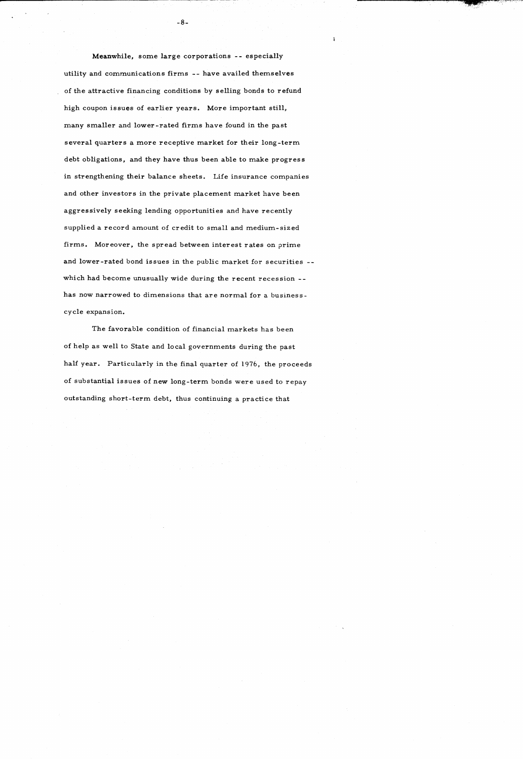Meanwhile, some large corporations -- especially utility and communications firms -- have availed themselves of the attractive financing conditions by selling bonds to refund high coupon issues of earlier years. More important still, many smaller and lower-rated firms have found in the past several quarters a more receptive market for their long-term debt obligations, and they have thus been able to make progress in strengthening their balance sheets. Life insurance companies and other investors in the private placement market have been aggressively seeking lending opportunities and have recently supplied a record amount of credit to small and medium-sized firms. Moreover, the spread between interest rates on prime and lower-rated bond issues in the public market for securities -which had become unusually wide during the recent recession -has now narrowed to dimensions that are normal for a businesscycle expansion.

The favorable condition of financial markets has been of help as well to State and local governments during the past half year. Particularly in the final quarter of 1976, the proceeds of substantial issues of new long-term bonds were used to repay outstanding short-term debt, thus continuing a practice that

 $-8-$ 

 $\mathcal{O}(\mathcal{O}(\log n))$ 

 $\mathcal{L}^{\text{max}}_{\text{max}}$  and  $\mathcal{L}^{\text{max}}_{\text{max}}$  $\label{eq:2.1} \frac{1}{\sqrt{2}}\left(\frac{1}{\sqrt{2}}\right)^2\left(\frac{1}{\sqrt{2}}\right)^2\left(\frac{1}{\sqrt{2}}\right)^2\left(\frac{1}{\sqrt{2}}\right)^2\left(\frac{1}{\sqrt{2}}\right)^2\left(\frac{1}{\sqrt{2}}\right)^2\left(\frac{1}{\sqrt{2}}\right)^2\left(\frac{1}{\sqrt{2}}\right)^2\left(\frac{1}{\sqrt{2}}\right)^2\left(\frac{1}{\sqrt{2}}\right)^2\left(\frac{1}{\sqrt{2}}\right)^2\left(\frac{1}{\sqrt{2}}\right)^2\left(\frac{1}{\sqrt$ 

 $\label{eq:2.1} \mathcal{L}(\mathcal{L}^{\mathcal{L}}_{\mathcal{L}}(\mathcal{L}^{\mathcal{L}}_{\mathcal{L}})) = \mathcal{L}(\mathcal{L}^{\mathcal{L}}_{\mathcal{L}}(\mathcal{L}^{\mathcal{L}}_{\mathcal{L}})) = \mathcal{L}(\mathcal{L}^{\mathcal{L}}_{\mathcal{L}}(\mathcal{L}^{\mathcal{L}}_{\mathcal{L}})) = \mathcal{L}(\mathcal{L}^{\mathcal{L}}_{\mathcal{L}}(\mathcal{L}^{\mathcal{L}}_{\mathcal{L}}))$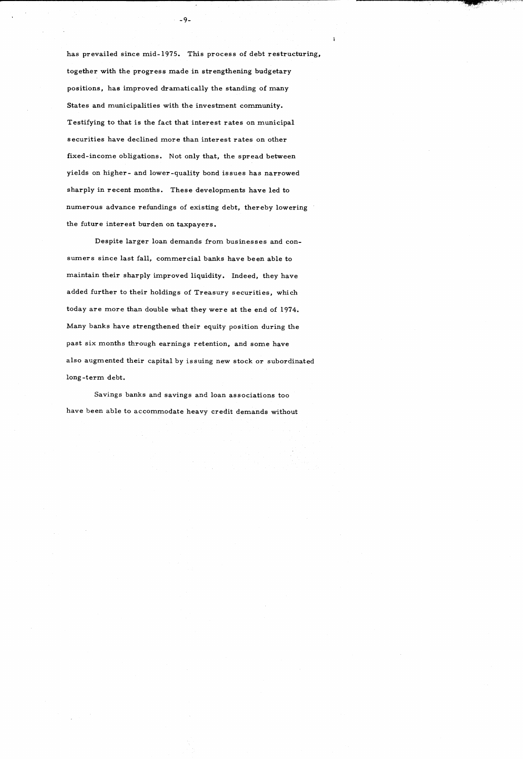has prevailed since mid-1975. This process of debt restructuring, together with the progress made in strengthening budgetary positions, has improved dramatically the standing of many States and municipalities with the investment community. Testifying to that is the fact that interest rates on municipal securities have declined more than interest rates on other fixed-income obligations. Not only that, the spread between yields on higher- and lower-quality bond issues has narrowed sharply in recent months. These developments have led to numerous advance refundings of existing debt, thereby lowering the future interest burden on taxpayers.

 $-9-$ 

Despite larger loan demands from businesses and consumers since last fall, commercial banks have been able to maintain their sharply improved liquidity. Indeed, they have added further to their holdings of Treasury securities, which today are more than double what they were at the end of 1974. Many banks have strengthened their equity position during the past six months through earnings retention, and some have also augmented their capital by issuing new stock or subordinated long-term debt.

Savings banks and savings and loan associations too have been able to accommodate heavy credit demands without

 $\sim 10^6$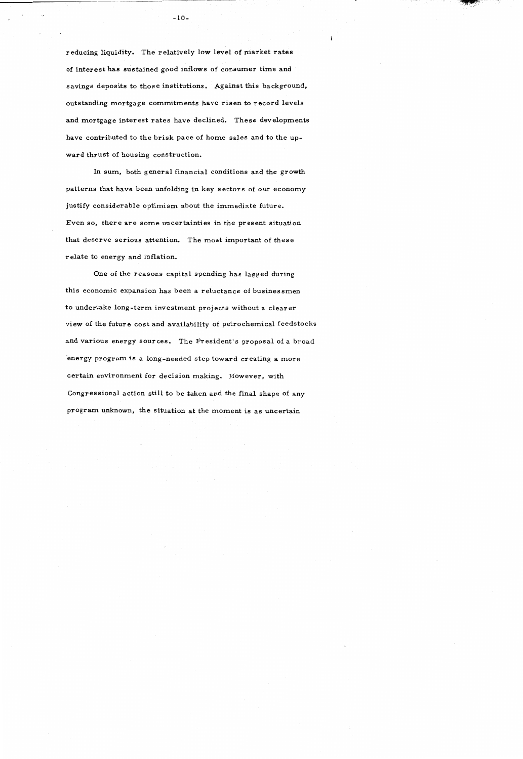-10-

 $\label{eq:2.1} \mathcal{L}(\mathcal{L}^{\mathcal{L}}_{\mathcal{L}}(\mathcal{L}^{\mathcal{L}}_{\mathcal{L}})) \leq \mathcal{L}(\mathcal{L}^{\mathcal{L}}_{\mathcal{L}}(\mathcal{L}^{\mathcal{L}}_{\mathcal{L}})) \leq \mathcal{L}(\mathcal{L}^{\mathcal{L}}_{\mathcal{L}}(\mathcal{L}^{\mathcal{L}}_{\mathcal{L}}))$  $\mathcal{L}(\mathcal{L})$  and  $\mathcal{L}(\mathcal{L})$  $\label{eq:2.1} \mathcal{L}_{\mathcal{A}}(\mathcal{A})=\mathcal{L}_{\mathcal{A}}(\mathcal{A})\mathcal{A}^{\mathcal{A}}(\mathcal{A})=\mathcal{L}_{\mathcal{A}}(\mathcal{A})\mathcal{A}^{\mathcal{A}}(\mathcal{A})\mathcal{A}^{\mathcal{A}}(\mathcal{A})\mathcal{A}^{\mathcal{A}}(\mathcal{A})\mathcal{A}^{\mathcal{A}}(\mathcal{A})\mathcal{A}^{\mathcal{A}}(\mathcal{A})\mathcal{A}^{\mathcal{A}}(\mathcal{A})\mathcal{A}^{\mathcal{A}}(\mathcal{A})\mathcal{A$  $\sim$  $\mathcal{L}^{\text{max}}_{\text{max}}$ 

reducing liquidity. The relatively low level of market rates of interest has sustained good inflows of consumer time and savings deposits to those institutions. Against this background, outstanding mortgage commitments have risen to record levels and mortgage interest rates have declined. These developments have contributed to the brisk pace of home sales and to the upward thrust of housing construction.

In sum, both general financial conditions and the growth patterns that have been unfolding in key sectors of our economy justify considerable optimism about the immediate future. Even *so,* there are some uncertainties in the present situation that deserve serious attention. The most important of these relate to energy and inflation.

One of the reasons capital spending has lagged during this economic expansion has been a reluctance of businessmen to undertake long-term investment projects without a clearer view of the future cost and availability of petrochemical feedstocks and various energy sources. The President's proposal of a broad energy program is a long-needed step toward creating a more certain environment for decision making. However, with Congressional action still to be taken and the final shape of any program unknown, the situation at the moment is as uncertain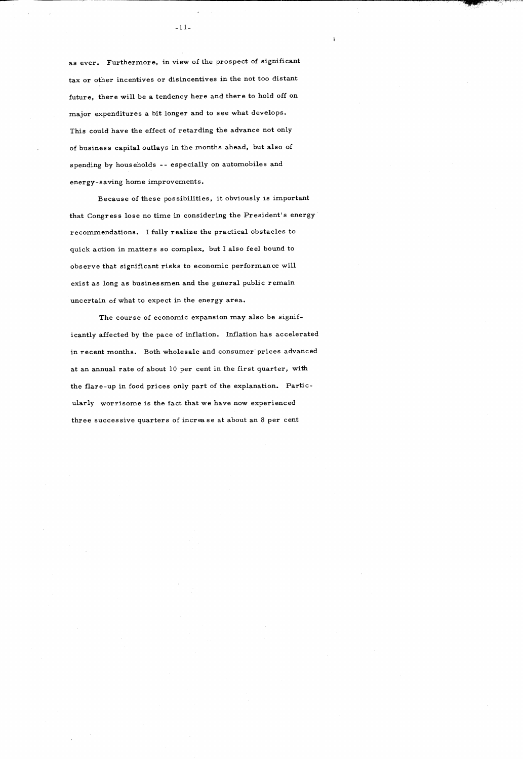''; .·

 $\sim$ 

 $\mathcal{L}^{\text{max}}_{\text{max}}$  and  $\mathcal{L}^{\text{max}}_{\text{max}}$  $\label{eq:2.1} \frac{1}{\sqrt{2\pi}}\left(\frac{1}{\sqrt{2\pi}}\right)^{1/2}\left(\frac{1}{\sqrt{2\pi}}\right)^{1/2}$ 

 $\sim 10^{-1}$ 

 $\mathcal{A}^{\text{max}}_{\text{max}}$ 

-11-

 $\label{eq:2} \frac{1}{\sqrt{2}}\int_{\mathbb{R}^3}\frac{1}{\sqrt{2}}\left(\frac{1}{\sqrt{2}}\right)^2\frac{1}{\sqrt{2}}\left(\frac{1}{\sqrt{2}}\right)^2\frac{1}{\sqrt{2}}\left(\frac{1}{\sqrt{2}}\right)^2.$ 

 $\mathcal{L}^{\text{max}}_{\text{max}}$  ,  $\mathcal{L}^{\text{max}}_{\text{max}}$  ,  $\mathcal{L}^{\text{max}}_{\text{max}}$  ,  $\mathcal{L}^{\text{max}}_{\text{max}}$  ,  $\mathcal{L}^{\text{max}}_{\text{max}}$  ,  $\mathcal{L}^{\text{max}}_{\text{max}}$  ,  $\mathcal{L}^{\text{max}}_{\text{max}}$  ,  $\mathcal{L}^{\text{max}}_{\text{max}}$  ,  $\mathcal{L}^{\text{max}}_{\text{max}}$  ,  $\mathcal{L}^{\text{max}}_{$ 

 $\mathbf{I}$ 

as ever. Furthermore, in view of the prospect of significant tax or other incentives or disincentives in the not too distant future, there will be a tendency here and there to hold off on major expenditures a bit longer and to see what develops. This could have the effect of retarding the advance not only of business capital outlays in the months ahead, but also of spending by households -- especially on automobiles and energy-saving home improvements.

Because of these possibilities, it obviously is important that Congress lose no time in considering the President's energy recommendations. I fully realize the practical obstacles to quick action in matters so complex, but I also feel bound to observe that significant risks to economic performance will exist as long as businessmen and the general public remain uncertain of what to expect in the energy area.

The course of economic expansion may also be significantly affected by the pace of inflation. Inflation has accelerated in recent months. Both wholesale and consumer prices advanced at an annual rate of about 10 per cent in the first quarter, with the flare-up in food prices only part of the explanation. Partieularly worrisome is the fact that we have now experienced three successive quarters of increase at about an 8 per cent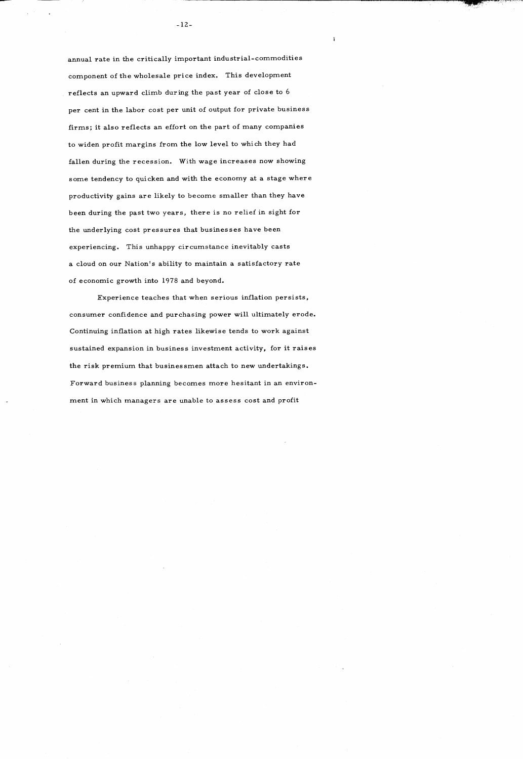-12-

 $\mathbf{I}$ 

 $\sim 10^{11}$ 

 $\label{eq:2.1} \frac{1}{\sqrt{2}}\int_{\mathbb{R}^3}\frac{1}{\sqrt{2}}\left(\frac{1}{\sqrt{2}}\right)^2\left(\frac{1}{\sqrt{2}}\right)^2\frac{1}{\sqrt{2}}\left(\frac{1}{\sqrt{2}}\right)^2\frac{1}{\sqrt{2}}\left(\frac{1}{\sqrt{2}}\right)^2.$  $\label{eq:2.1} \mathcal{L}(\mathcal{L}(\mathcal{L})) = \mathcal{L}(\mathcal{L}(\mathcal{L})) = \mathcal{L}(\mathcal{L}(\mathcal{L})) = \mathcal{L}(\mathcal{L}(\mathcal{L})) = \mathcal{L}(\mathcal{L}(\mathcal{L}))$ 

annual rate in the critically important industrial-commodities component of the wholesale price index. This development reflects an upward climb during the past year of close to 6 per cent in the labor cost per unit of output for private business firms; it also reflects an effort on the part of many companies to widen profit margins from the low level to which they had fallen during the recession. With wage increases now showing some tendency to quicken and with the economy at a stage where productivity gains are likely to become smaller than they have been during the past two years, there is no relief in sight for the underlying cost pressures that businesses have been experiencing. This unhappy circumstance inevitably casts a cloud on our Nation's ability to maintain a satisfactory rate of economic growth into 1978 and beyond.

Experience teaches that when serious inflation persists, consumer confidence and purchasing power will ultimately erode. Continuing inflation at high rates likewise tends to work against sustained expansion in business investment activity, for it raises the risk premium that businessmen attach to new undertakings. Forward business planning becomes more hesitant in an environment in which managers are unable to assess cost and profit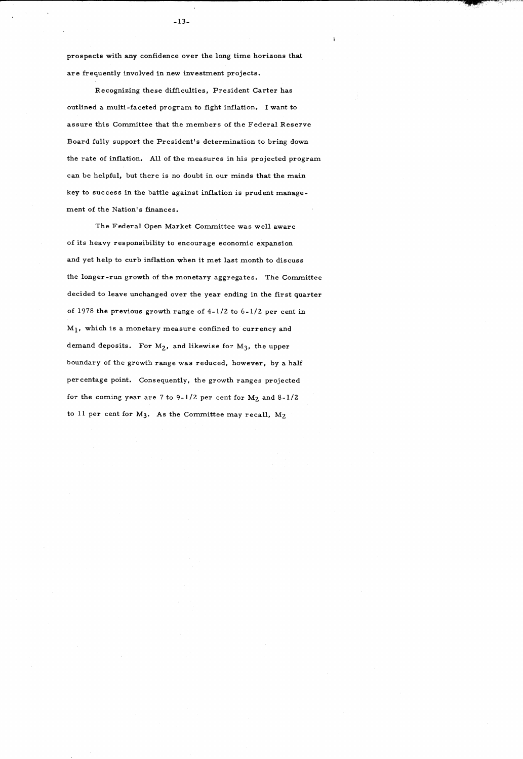-----------...--------------------------------------------""":"'"----~ ..... ,.-... '":""lll.·;,--~~-.-':··~·~.r~·":":''' ,-

-13-

prospects with any confidence over the long time horizons that are frequently involved in new investment projects.

Recognizing these difficulties, President Carter has outlined a multi-faceted program to fight inflation. I want to assure this Committee that the members of the Federal Reserve Board fully support the President's determination to bring down the rate of inflation. All of the measures in his projected program can be helpful, but there is no doubt in our minds that the main key to success in the battle against inflation is prudent management of the Nation's finances.

The Federal Open Market Committee was well aware of its heavy responsibility to encourage economic expansion and yet help to curb inflation when it met last month to discuss the longer-run growth of the monetary aggregates. The Committee decided to leave unchanged over the year ending in the first quarter of 1978 the previous growth range of 4-1/2 to 6-1/2 per cent in  $M_1$ , which is a monetary measure confined to currency and demand deposits. For  $M_2$ , and likewise for  $M_3$ , the upper boundary of the growth range was reduced, however, by a half percentage point. Consequently, the growth ranges projected for the coming year are 7 to 9-1/2 per cent for  $M_2$  and 8-1/2 to 11 per cent for M3. As the Committee may recall, M2

 $\sim$   $\epsilon$ 

 $\label{eq:2.1} \frac{1}{\sqrt{2}}\sum_{i=1}^n\frac{1}{\sqrt{2}}\sum_{i=1}^n\frac{1}{\sqrt{2}}\sum_{i=1}^n\frac{1}{\sqrt{2}}\sum_{i=1}^n\frac{1}{\sqrt{2}}\sum_{i=1}^n\frac{1}{\sqrt{2}}\sum_{i=1}^n\frac{1}{\sqrt{2}}\sum_{i=1}^n\frac{1}{\sqrt{2}}\sum_{i=1}^n\frac{1}{\sqrt{2}}\sum_{i=1}^n\frac{1}{\sqrt{2}}\sum_{i=1}^n\frac{1}{\sqrt{2}}\sum_{i=1}^n\frac$  $\label{eq:2} \frac{1}{\sqrt{2}}\left(\frac{1}{\sqrt{2}}\right)^{2} \left(\frac{1}{\sqrt{2}}\right)^{2} \left(\frac{1}{\sqrt{2}}\right)^{2} \left(\frac{1}{\sqrt{2}}\right)^{2} \left(\frac{1}{\sqrt{2}}\right)^{2} \left(\frac{1}{\sqrt{2}}\right)^{2} \left(\frac{1}{\sqrt{2}}\right)^{2} \left(\frac{1}{\sqrt{2}}\right)^{2} \left(\frac{1}{\sqrt{2}}\right)^{2} \left(\frac{1}{\sqrt{2}}\right)^{2} \left(\frac{1}{\sqrt{2}}\right)^{2} \left(\frac{$ 

 $\label{eq:2.1} \frac{1}{\sqrt{2}}\sum_{i=1}^n\frac{1}{\sqrt{2}}\sum_{i=1}^n\frac{1}{\sqrt{2}}\sum_{i=1}^n\frac{1}{\sqrt{2}}\sum_{i=1}^n\frac{1}{\sqrt{2}}\sum_{i=1}^n\frac{1}{\sqrt{2}}\sum_{i=1}^n\frac{1}{\sqrt{2}}\sum_{i=1}^n\frac{1}{\sqrt{2}}\sum_{i=1}^n\frac{1}{\sqrt{2}}\sum_{i=1}^n\frac{1}{\sqrt{2}}\sum_{i=1}^n\frac{1}{\sqrt{2}}\sum_{i=1}^n\frac$ 

 $\label{eq:2.1} \frac{1}{\sqrt{2}}\sum_{i=1}^n\frac{1}{\sqrt{2}}\sum_{i=1}^n\frac{1}{\sqrt{2}}\sum_{i=1}^n\frac{1}{\sqrt{2}}\sum_{i=1}^n\frac{1}{\sqrt{2}}\sum_{i=1}^n\frac{1}{\sqrt{2}}\sum_{i=1}^n\frac{1}{\sqrt{2}}\sum_{i=1}^n\frac{1}{\sqrt{2}}\sum_{i=1}^n\frac{1}{\sqrt{2}}\sum_{i=1}^n\frac{1}{\sqrt{2}}\sum_{i=1}^n\frac{1}{\sqrt{2}}\sum_{i=1}^n\frac$ 

 $\mathcal{L}^{\text{max}}_{\text{max}}$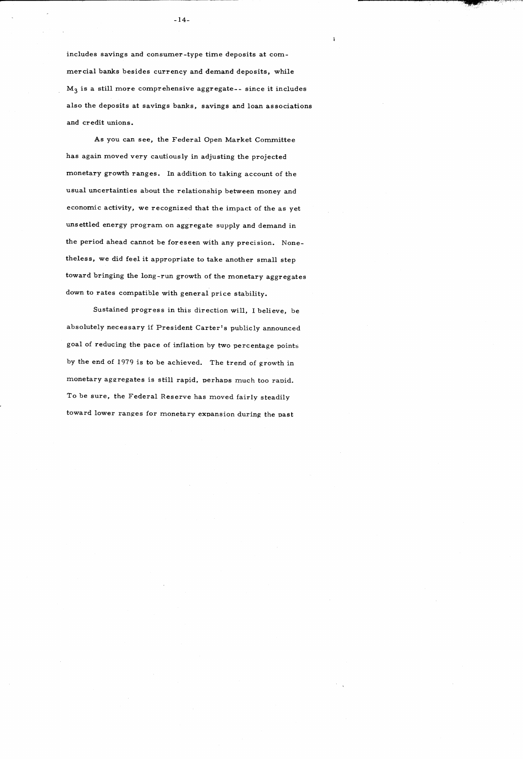-----------,....----------- ------~--~

 $\label{eq:2.1} \mathcal{L}=\frac{1}{2}\sum_{i=1}^n\frac{1}{2}\sum_{j=1}^n\frac{1}{2}\sum_{j=1}^n\frac{1}{2}\sum_{j=1}^n\frac{1}{2}\sum_{j=1}^n\frac{1}{2}\sum_{j=1}^n\frac{1}{2}\sum_{j=1}^n\frac{1}{2}\sum_{j=1}^n\frac{1}{2}\sum_{j=1}^n\frac{1}{2}\sum_{j=1}^n\frac{1}{2}\sum_{j=1}^n\frac{1}{2}\sum_{j=1}^n\frac{1}{2}\sum_{j=1}^n\frac{1}{2}\sum_{j$ 

 $\sim 10^{-1}$ 

 $\mathcal{L}(\mathcal{L})$  and  $\mathcal{L}(\mathcal{L})$  .

 $\sim 10^{11}$ 

includes savings and consumer -type time deposits at commercial banks besides currency and demand deposits, while  $M_3$  is a still more comprehensive aggregate-- since it includes also the deposits at savings banks, savings and loan associations and credit unions.

 $\mathbf{I}$ 

As you can see, the Federal Open Market Committee has again moved very cautiously in adjusting the projected monetary growth ranges. In addition to taking account of the usual uncertainties about the relationship between money and economic activity, we recognized that the impact of the as yet unsettled energy program on aggregate supply and demand in the period ahead cannot be foreseen with any precision. Nonetheless, we did feel it appropriate to take another small step toward bringing the long-run growth of the monetary aggregates down to rates compatible with general price stability.

Sustained progress in this direction will, I believe, be absolutely necessary if President Carter's publicly announced goal of reducing the pace of inflation by two percentage points by the end of 1979 is to be achieved. The trend of growth in monetary aggregates is still rapid, perhaps much too rapid. To be sure, the Federal Reserve has moved fairly steadily toward lower ranges for monetary expansion during the past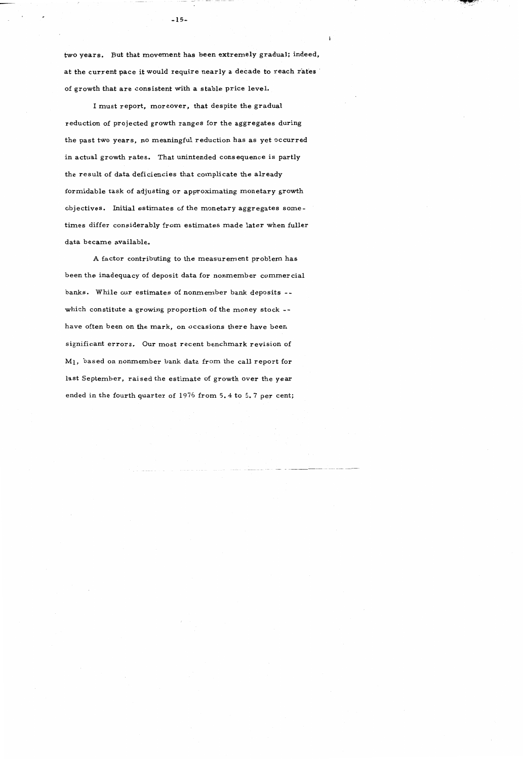-15-

 $\sim 10^{11}$ 

 $\sim 10^{-1}$  $\label{eq:2.1} \mathcal{F}(\mathcal{F}) = \mathcal{F}(\mathcal{F}) \mathcal{F}(\mathcal{F})$ 

 $\sim 10^{-1}$  $\sim 10^{-1}$ 

two years. But that movement has been extremely gradual; indeed, at the current pace it would require nearly a decade to reach rates of growth that are consistent with a stable price level.

 $\mathbf{1}$ 

I must report, moreover, that despite the gradual reduction of projected growth ranges for the aggregates during the past two years, no meaningful reduction has as yet occurred in actual growth rates. That unintended consequence is partly the result of data deficiencies that complicate the already formidable task of adjusting or approximating monetary growth objectives. Initial estimates of the monetary aggregates sometimes differ considerably from estimates made later when fuller data became available.

A factor contributing to the measurement problem has been the inadequacy of deposit data for nonmember commercial banks. While our estimates of nonmember bank deposits - which constitute a growing proportion of the money stock - have often been on the mark, on occasions there have been significant errors. Our most recent benchmark revision of M1, based on nonmember bank data from the call report for last September, raised the estimate of growth over the year ended in the fourth quarter of 1976 from 5. 4 to 5. 7 per cent;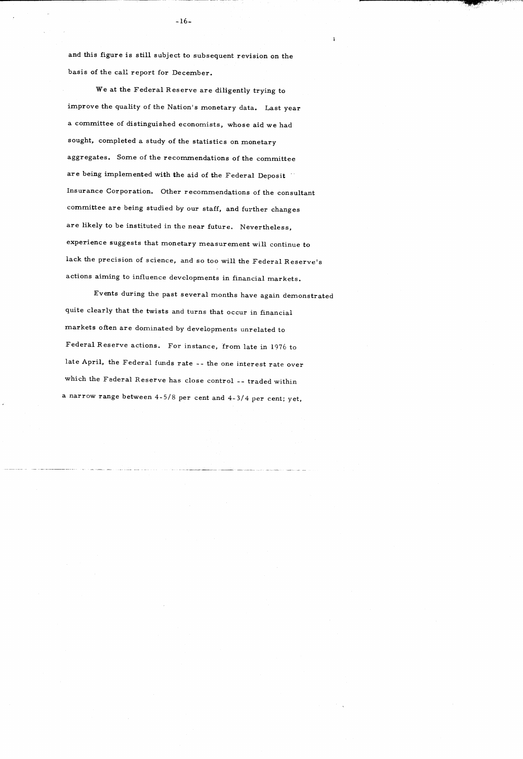-16-

 $\sim$   $\sim$ 

 $\sim 10$  $\mathcal{O}(\frac{1}{\lambda})$  . As  $\mathcal{O}(\frac{1}{\lambda})$ 

 $\sim 10^{-1}$ 

We at the Federal Reserve are diligently trying to improve the quality of the Nation's monetary data. Last year a committee of distinguished economists, whose aid we had sought, completed a study of the statistics on monetary aggregates. Some of the recommendations of the committee are being implemented with the aid of the Federal Deposit Insurance Corporation. Other recommendations of the consultant committee are being studied by our staff, and further changes are likely to be instituted in the near future. Nevertheless, experience suggests that monetary measurement will continue to lack the precision of science, and so too will the Federal Reserve's actions aiming to influence developments in financial markets.

and this figure is still subject to subsequent revision on the basis of the call report for December.

Events during the past several months have again demonstrated quite clearly that the twists and turns that occur in financial markets often are dominated by developments unrelated to Federal Reserve actions. For instance, from late in 1976 to late April, the Federal funds rate -- the one interest rate over which the Federal Reserve has close control -- traded within a narrow range between 4-5/8 per cent and 4-3/4 per cent; yet,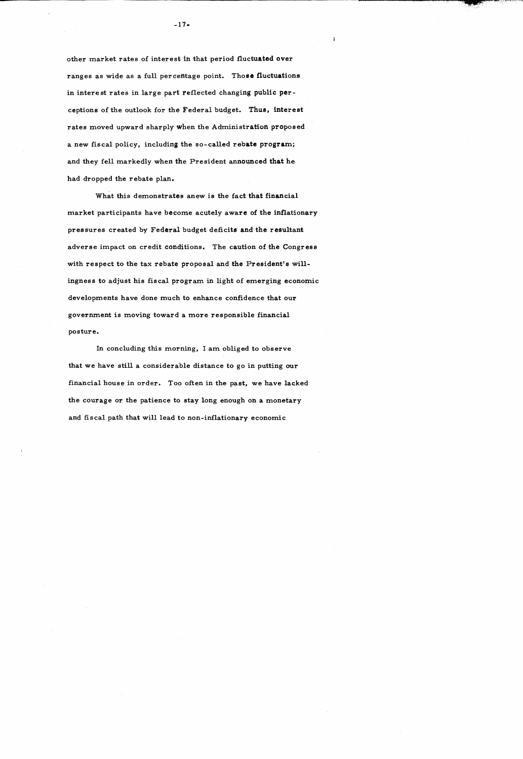-17-

 $\label{eq:2.1} \frac{1}{\sqrt{2}}\int_{\mathbb{R}^3} \frac{1}{\sqrt{2}}\left(\frac{1}{\sqrt{2}}\right)^2\left(\frac{1}{\sqrt{2}}\right)^2\left(\frac{1}{\sqrt{2}}\right)^2\left(\frac{1}{\sqrt{2}}\right)^2.$ 

 $\label{eq:2.1} \frac{1}{\sqrt{2}}\int_{\mathbb{R}^3}\left|\frac{d\mathbf{x}}{d\mathbf{x}}\right|^2\,d\mathbf{x}^2\,d\mathbf{x}^2\,d\mathbf{x}^2\,d\mathbf{x}^2\,d\mathbf{x}^2\,d\mathbf{x}^2\,d\mathbf{x}^2\,d\mathbf{x}^2\,d\mathbf{x}^2\,d\mathbf{x}^2\,d\mathbf{x}^2\,d\mathbf{x}^2\,d\mathbf{x}^2\,d\mathbf{x}^2\,d\mathbf{x}^2\,d\mathbf{x}^2\,d\mathbf{x}$ 

 $\label{eq:1} \hat{H}_{\rm{R}} = \frac{1}{\sqrt{2\pi}}\sum_{i=1}^{\infty} \frac{1}{\sqrt{2\pi}}\sum_{i=1}^{\infty} \frac{1}{\sqrt{2\pi}}\sum_{i=1}^{\infty} \frac{1}{\sqrt{2\pi}}\sum_{i=1}^{\infty} \frac{1}{\sqrt{2\pi}}\sum_{i=1}^{\infty} \frac{1}{\sqrt{2\pi}}\sum_{i=1}^{\infty} \frac{1}{\sqrt{2\pi}}\sum_{i=1}^{\infty} \frac{1}{\sqrt{2\pi}}\sum_{i=1}^{\infty} \frac{1}{\sqrt{2\$ 

 $\mathcal{L}(\mathcal{L}(\mathcal{L}))$  and  $\mathcal{L}(\mathcal{L}(\mathcal{L}))$  . The set of  $\mathcal{L}(\mathcal{L})$  $\label{eq:2.1} \mathcal{L}(\mathcal{L}^{\text{max}}_{\mathcal{L}}(\mathcal{L}^{\text{max}}_{\mathcal{L}})) \leq \mathcal{L}(\mathcal{L}^{\text{max}}_{\mathcal{L}}(\mathcal{L}^{\text{max}}_{\mathcal{L}}))$ 

 $\label{eq:2.1} \mathcal{L}(\mathcal{L}^{\text{max}}_{\mathcal{L}}(\mathcal{L}^{\text{max}}_{\mathcal{L}})) \leq \mathcal{L}(\mathcal{L}^{\text{max}}_{\mathcal{L}}(\mathcal{L}^{\text{max}}_{\mathcal{L}})) \leq \mathcal{L}(\mathcal{L}^{\text{max}}_{\mathcal{L}}(\mathcal{L}^{\text{max}}_{\mathcal{L}}))$ 

 $\label{eq:2.1} \mathcal{L}(\mathcal{L}^{\text{max}}_{\mathcal{L}}(\mathcal{L}^{\text{max}}_{\mathcal{L}})) \leq \mathcal{L}(\mathcal{L}^{\text{max}}_{\mathcal{L}}(\mathcal{L}^{\text{max}}_{\mathcal{L}}))$ 

other market rates of interest in that period fluctuated over ranges as wide as a full per centage point. Those fluctuations in interest rates in large part reflected changing public perceptions of the outlook for the Federal budget. Thus, interest rates moved upward sharply when the Administration proposed a new fiscal policy, including the so-called rebate program; and they fell markedly when the President announced that he had dropped the rebate plan.

What this demonstrates anew is the fact that financial market participants have become acutely aware of the inflationary pressures created by Federal budget deficits and the resultant adverse impact on credit conditions. The caution of the Congress with respect to the tax rebate proposal and the President's willingness to adjust his fiscal program in light of emerging economic developments have done much to enhance confidence that our government is moving toward a more responsible financial posture.

In concluding this morning, I am obliged to observe that we have still a considerable distance to go in putting our financial house in order. Too often in the past, we have lacked the courage or the patience to stay long enough on a monetary and fiscal path that will lead to non-inflationary economic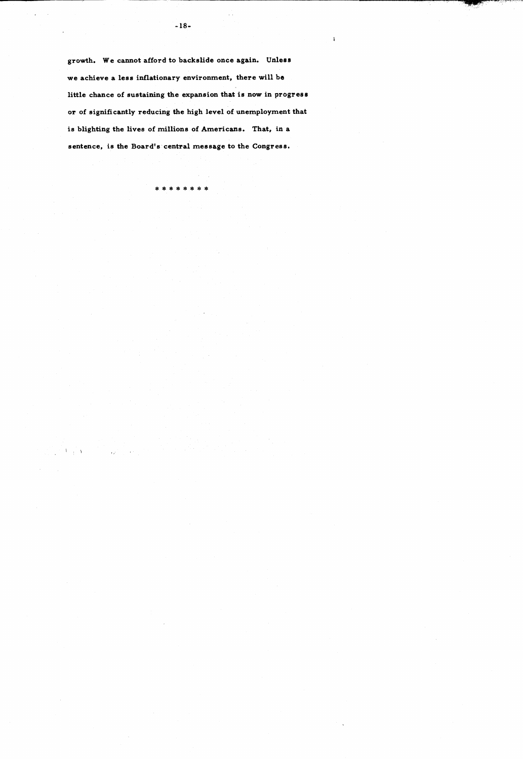growth. We cannot afford to backslide once again. Unless we achieve a less inflationary environment, there will be little chance of sustaining the expansion that is now in progress or of significantly reducing the high level of unemployment that is blighting the lives of millions of Americans. That, in a sentence, is the Board's central message to the Congress.

> $\star$ ×,

\* \*  $\ast$ 水 \*

 $-18-$ 

 $\sqrt{2}$ 

 $\label{eq:2.1} \frac{1}{\sqrt{2\pi}}\int_{0}^{\infty} \frac{d\mu}{\sqrt{2\pi}}\,d\mu\int_{0}^{\infty} \frac{d\mu}{\sqrt{2\pi}}\,d\mu\int_{0}^{\infty} \frac{d\mu}{\sqrt{2\pi}}\,d\mu\int_{0}^{\infty} \frac{d\mu}{\sqrt{2\pi}}\,d\mu\int_{0}^{\infty} \frac{d\mu}{\sqrt{2\pi}}\,d\mu\int_{0}^{\infty} \frac{d\mu}{\sqrt{2\pi}}\,d\mu\int_{0}^{\infty} \frac{d\mu}{\sqrt{2\pi}}\$ 

 $\mathcal{L}^{\text{max}}_{\text{max}}$ 

 $\mathcal{F}^{\mathcal{F}}_{\mathcal{F}}(\mathbf{x})$  , where  $\mathcal{F}^{\mathcal{F}}_{\mathcal{F}}(\mathbf{x})$ 

 $\label{eq:1} \frac{1}{\sqrt{2}}\sum_{i=1}^n\frac{1}{\sqrt{2}}\sum_{i=1}^n\frac{1}{\sqrt{2}}\sum_{i=1}^n\frac{1}{\sqrt{2}}\sum_{i=1}^n\frac{1}{\sqrt{2}}\sum_{i=1}^n\frac{1}{\sqrt{2}}\sum_{i=1}^n\frac{1}{\sqrt{2}}\sum_{i=1}^n\frac{1}{\sqrt{2}}\sum_{i=1}^n\frac{1}{\sqrt{2}}\sum_{i=1}^n\frac{1}{\sqrt{2}}\sum_{i=1}^n\frac{1}{\sqrt{2}}\sum_{i=1}^n\frac{1$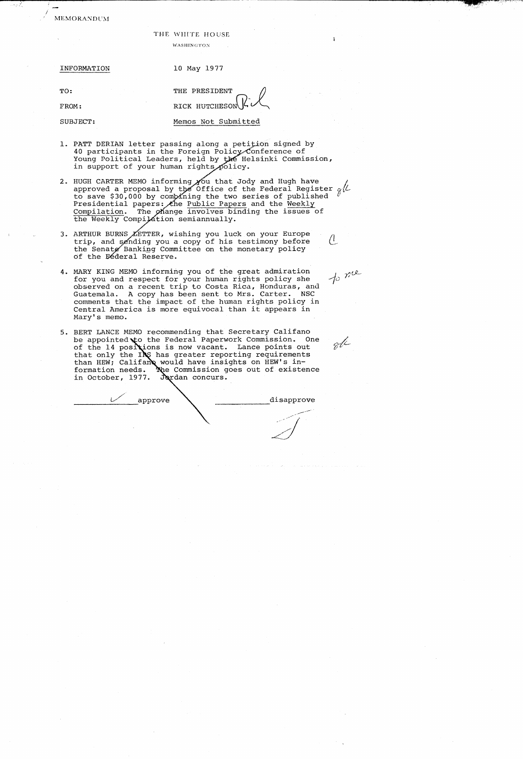I

THE PRESIDENT RICK HUTCHESON

MEMORANDUM

#### THE WHITE HOUSE

WASHINGTON

INFORMATION 10 May 1977

TO:

FROM:

SUBJECT: Memos Not Submitted

- 1. PATT DERIAN letter passing along a petition signed by 40 participants in the Foreign Policy Conference of Young Political Leaders, held by the Helsinki Commission, in support of your human rights policy.
- 2. HUGH CARTER MEMO informing  $X$ ou that Jody and Hugh have  $\sqrt{2}$ approved a proposal by the Office of the Federal Register  $\partial/\partial t$ <br>to save \$30,000 by compining the two series of published to save \$30,000 by combining the two series of published<br>Presidential papers: the Public Papers and the Weekly Compilation. The *phange* involves binding the issues of the Weekly Compilation semiannually.
- 3. ARTHUR BURNS *E*ETTER, wishing you luck on your Europe<br>trip, and sending you a copy of his testimony before trip, and sending you a copy of his testimony before the Senate Banking Committee on the monetary policy of the Eéderal Reserve.
- 4. MARY KING MEMO informing you of the great admiration for you and respect for your human rights policy she observed on a recent trip to Costa Rica, Honduras, and Guatemala. A copy has been sent to Mrs. Carter. NSC comments that the impact of the human rights policy in Central America is more equivocal than it appears in Mary's memo.
- 5. BERT LANCE MEMO recommending that Secretary Califano be appointed to the Federal Paperwork Commission. One of the 14 positions is now vacant. Lance points out that only the  $IRS$  has greater reporting requirements than HEW; Califand would have insights on HEW's information needs. The Commission goes out of existence in October, 1977. Jordan concurs.

 $\begin{picture}(180,190)(-10,-1) \put(10,0){\line(1,0){150}} \put(15,0){\line(1,0){150}} \put(15,0){\line(1,0){150}} \put(15,0){\line(1,0){150}} \put(15,0){\line(1,0){150}} \put(15,0){\line(1,0){150}} \put(15,0){\line(1,0){150}} \put(15,0){\line(1,0){150}} \put(15,0){\line(1,0){150}} \put(15,0){\line(1,0){150}} \put(15,0){\line($ 

to me

 $\partial t$ 

 $\label{eq:2.1} \mathcal{L}(\mathcal{L}^{\mathcal{L}}_{\mathcal{L}}(\mathcal{L}^{\mathcal{L}}_{\mathcal{L}})) \leq \mathcal{L}(\mathcal{L}^{\mathcal{L}}_{\mathcal{L}}(\mathcal{L}^{\mathcal{L}}_{\mathcal{L}})) \leq \mathcal{L}(\mathcal{L}^{\mathcal{L}}_{\mathcal{L}}(\mathcal{L}^{\mathcal{L}}_{\mathcal{L}}))$  $\label{eq:2.1} \frac{1}{\sqrt{2}}\int_{\mathbb{R}^3}\frac{1}{\sqrt{2}}\left(\frac{1}{\sqrt{2}}\right)^2\frac{1}{\sqrt{2}}\left(\frac{1}{\sqrt{2}}\right)^2\frac{1}{\sqrt{2}}\left(\frac{1}{\sqrt{2}}\right)^2\frac{1}{\sqrt{2}}\left(\frac{1}{\sqrt{2}}\right)^2.$ 

 $\label{eq:2.1} \mathcal{L}_{\mathcal{A}}(\mathcal{A}) = \mathcal{L}_{\mathcal{A}}(\mathcal{A}) = \mathcal{L}_{\mathcal{A}}(\mathcal{A})$  $\label{eq:2.1} \frac{1}{\sqrt{2}}\left(\frac{1}{\sqrt{2}}\right)^{2} \frac{1}{\sqrt{2}}\left(\frac{1}{\sqrt{2}}\right)^{2} \frac{1}{\sqrt{2}}\left(\frac{1}{\sqrt{2}}\right)^{2} \frac{1}{\sqrt{2}}\left(\frac{1}{\sqrt{2}}\right)^{2} \frac{1}{\sqrt{2}}\left(\frac{1}{\sqrt{2}}\right)^{2} \frac{1}{\sqrt{2}}\left(\frac{1}{\sqrt{2}}\right)^{2} \frac{1}{\sqrt{2}}\left(\frac{1}{\sqrt{2}}\right)^{2} \frac{1}{\sqrt{2}}\left(\frac{$  $\mathcal{O}(\mathcal{O}(\log n))$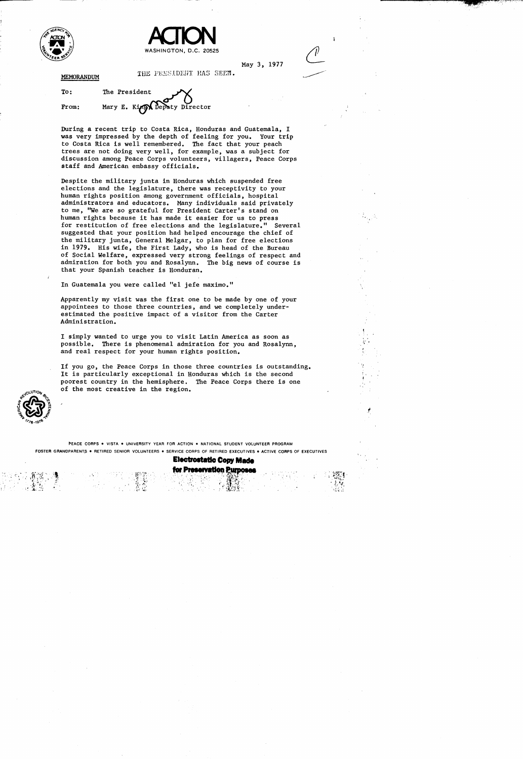--- /

From: Mary E. King Depaty Director

MEMORANDUM

THE PRESIDENT HAS SEEN.<br>The President  $\sum_{n=1}^{\infty}$ 

To:





May 3, 1977

During a recent trip to Costa Rica, Honduras and Guatemala, I was very impressed by the depth of feeling for you. Your trip to Costa Rica is well remembered. The fact that your peach trees are not doing very well, for example, was a subject for discussion among Peace Corps volunteers, villagers, Peace Corps staff and American embassy officials.

Despite the military junta in Honduras which suspended free elections and the legislature, there was receptivity to your human rights position among government officials, hospital administrators and educators. Many individuals said privately to me, "We are so grateful for President Carter's stand on human rights because it has made it easier for us to press for restitution of free elections and the legislature." Several suggested that your position had helped encourage the chief of the military junta, General Melgar, to plan for free elections in 1979. His wife, the First Lady, who is head of the Bureau of Social Welfare, expressed very strong feelings of respect and admiration for both you and Rosalynn. The big news of course is that your Spanish teacher is Honduran.

> **Electrostetlo Copy Made**  for Preservation Purposes

 $\sim 80$ 

 $\mathcal{A}^{\mathcal{A}}$ 

In Guatemala you were called "el jefe maximo."

Apparently my visit was the first one to be made by one of your appointees to those three countries, and we completely underestimated the positive impact of a visitor from the Carter Administration.

I simply wanted to urge you to visit Latin America as soon as possible. There is phenomenal admiration for you and Rosalynn, and real respect for your human rights position.

If you go, the Peace Corps in those three countries is outstanding. It is particularly exceptional in Honduras which is the second poorest country in the hemisphere. The Peace Corps there is one of the most creative in the region.



PEACE CORPS • VISTA • UNIVERSITY YEAR FOR ACTION • NATIONAL STUDENT VOLUNTEER PROGRAM FOSTER GRANDPARENTS . RETIRED SENIOR VOLUNTEERS . SERVICE CORPS OF RETIRED EXECUTIVES . ACTIVE CORPS OF EXECUTIVES

.

.f

 $\mathcal{L}^{\text{max}}_{\text{max}}$ 

 $\mathcal{L}^{\text{max}}_{\text{max}}$  and  $\mathcal{L}^{\text{max}}_{\text{max}}$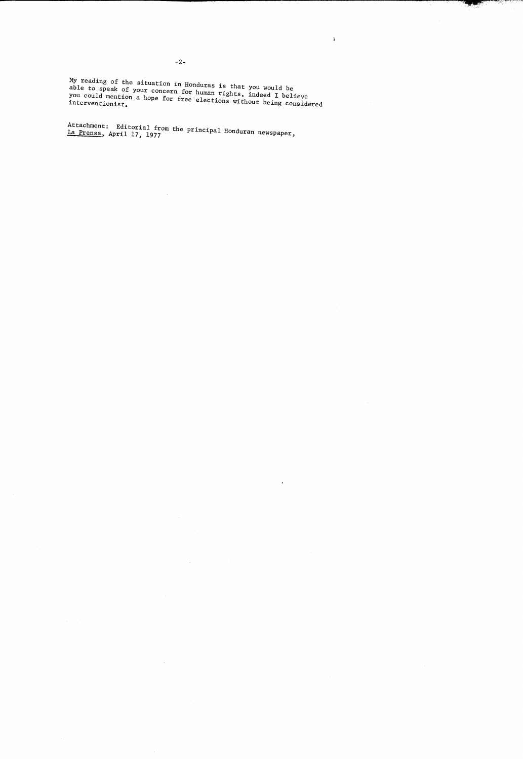My reading of the situation in Honduras is that you would be able to speak of your concern for human rights, indeed I believe you could mention a hope for free elections without being considered intervention a hope for free elections without being considered

 $\sim$   $\sim$ 

 $\Lambda$ 

**TAN PERSONAL** 

 $\mathcal{L}(\mathcal{A})$  and  $\mathcal{L}(\mathcal{A})$ 

Attachment: Editorial from the principal Honduran newspaper, La Prensa, April *17,* 1977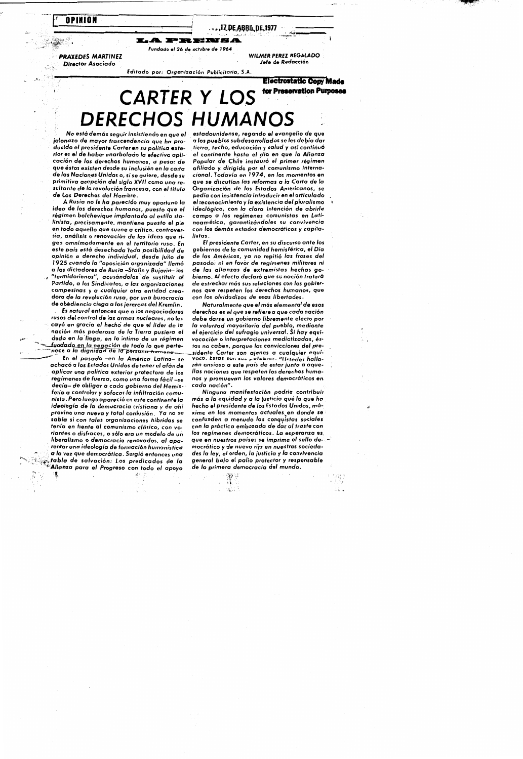**OPINION** 

. . . . 17, DE ABBIL DE 1977

**T.A. PREENSA** 

Fundado el 26 de octubre de 1964

**PRAXEDES MARTINEZ** Director Asociado

Jefe de Redacción

WILMER PEREZ REGALADO

**Electrostatic Copy Made** 

Editado por: Organización Publicitaria, S.A.

# for Preservation Purposes **CARTER Y LOS DERECHOS HUMANOS**

No está demás seguir insistiendo en que el jalonazo de mayor trascendencia que ha producido el presidente Carter en su política exterior es el de haber enarbolado la efectiva aplicación de los derechos humanos, a pesar de que éstos existen desde su inclusión en la carta de las Naciones Unidas o, si se quiere, desde su primitiva acepción del siglo XVII como una resultante de la revolución francesa, con el título de Los Derechos del Hombre.

A Rusia no le ha parecido muy oportuno la idea de los derechos humanos, puesto que el régimen bolchevique implantado al estilo stalinista, precisamente, mantiene puesto el pie en todo aquello que suene a crítica, controversia, análisis o renovación de las ideas que rigen omnímodamente en el territorio ruso. En este país está desechada toda posibilidad de opinión o derecho individual, desde julio de 1925 cuando la "oposición organizada" llamó a los dictadores de Rusia —Stalin y Bujarin— los "termidorianos", acusándolos de sustituir al Partido, a los Sindicatos, a las organizaciones campesinas y a cualquier otra entidad creadora de la revolución rusa, por una burocracia de obèdiencia ciega a los jerarcas del Kremlin.

Es natural entonces que a los negociadores rusos del control de las armas nucleares, no les cayó en gracia el hecho de que el líder de la nación más poderosa de la Tierra pusiera el dedo en la llaga, en lo íntimo de un régimen fundado en la negación de todo lo que pertenece a la dignidad de la pers<del>ona homa</del>na.

En el pasado -en la América Latina-se achacó a los Estados Unidos de tener el afán de aplicar una política exterior protectora de los regímenes de fuerza, como una forma fácil -se decía— de obligar a cada gobierno del Hemisferio a controlar y sofocar la infiltración comunista. Pero luego apareció en este continente la ideología de la democracia cristiana y de ahí provino una nueva y total confusión. Ya no se sabía si con tales organizaciones híbridas se tenía en frente al comunismo clásico, con variantes o disfraces, o sólo era un modelo de un liberalismo o democracia renovados, al aparentar una ideología de formación humanística a la vez que democrática. Surgió entonces una tabla de salvación: Los predicados de la «Alianza para el Progreso con todo el apoyo

estadounidense, regando el evangelio de que a los pueblos subdesarrollados se les debía dar tierra, techo, educación y salud y así continuó el continente hasta el día en que la Alianza Popular de Chile instauró el primer régimen afiliado y dirigido por el comunismo internacional. Todavía en 1974, en los momentos en que se discutían las reformas a la Carta de la Organización de los Estados Americanos, se pedía con insistencia introducir en el articulado el reconocimiento y la existencia del pluralismo ideológico, con la clara intención de abrirle campo a los regímenes comunistas en Latinoamérica, garantizándoles su convivencia con los demás estados democráticos y capitalistas.

El presidente Carter, en su discurso ante los aobiernos de la comunidad hemisférica, el Día de las Américas, ya no repitió las frases del pasado: ni en favor de regímenes militares ni de las alianzas de extremistas hechas gobierno. Al efecto declaró que su nación tratará de estrechar más sus relaciones con los gobiernos que respeten los derechos humanos, que con los olvidadizos de esas libertades.

Naturalmente que el más elemental de esos derechos es el que se refiere a que cada nación debe darse un gobierno libremente electo por la voluntad mayoritaria del pueblo, mediante el ejercicio del sufragio universal. Si hay equivocación o interpretaciones mediatizadas, éstas no caben, porque las convicciones del presidente Carter son aienas a cualquier equívoco. Estas sun sus palabras. "Hetedes hallarán ansioso a este país de estar junto a aquellas naciones que respeten los derechos humanos y promuevan los valores democráticos en cada nación".

Ninguna manifestación podría contribuir. más a la equidad y a la justicia que la que ha hecho el presidente de los Estados Unidos, máxime en los momentos actuales en donde se confunden a menudo las conquistas sociales con la práctica embozada de dar al traste con los regímenes democráticos. La esperanza es, que en nuestros países se imprima el sello de- mocrático y de nuevo rija en nuestras sociedades la ley, el orden, la justicia y la convivencia general bajo el palio protector y responsable de la primera democracia del mundo.

 $\mathcal{A}_{\mathcal{A}}$  ,

 $\label{eq:2.1} \frac{1}{2}\sum_{i=1}^n\frac{1}{2}\sum_{j=1}^n\frac{1}{2}\sum_{j=1}^n\frac{1}{2}\sum_{j=1}^n\frac{1}{2}\sum_{j=1}^n\frac{1}{2}\sum_{j=1}^n\frac{1}{2}\sum_{j=1}^n\frac{1}{2}\sum_{j=1}^n\frac{1}{2}\sum_{j=1}^n\frac{1}{2}\sum_{j=1}^n\frac{1}{2}\sum_{j=1}^n\frac{1}{2}\sum_{j=1}^n\frac{1}{2}\sum_{j=1}^n\frac{1}{2}\sum_{j=1}^n\$ 

 $\sim$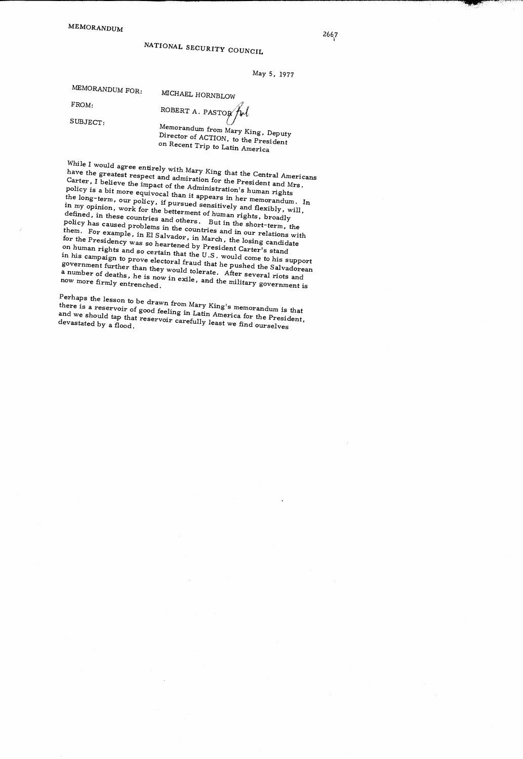# MEMORANDUM

MEMORANDUM FOR:

FROM:

ROBERT A. PASTOR

SUBJECT:

# NATIONAL SECURITY COUNCIL

May *5,* 1977

MICHAEL HORNBLOW

Memorandum from Mary King, Deputy Director of ACTION, to the President on Recent Trip to Latin America

have the greatest. Figure the greatest respect and admiration for the President and Muslim have the greatest respect and admiration for the President and Mrs.<br>Carter, I believe the impact of the Administration's human rights  $p_{\text{max}}$  is a bit more equivocal than it appears in her moral unit. the long-term, our policy, if pursued sensitively and flexible  $\frac{1}{2}$ . the long-term, our policy, if pursued sensitively and flexibly, will, in my opinion, work for the betterment of human rights, broadly defined, in these countries and others. But in the short-term, the policies has caused problems in the countries and in our relations the them. For example,  $\frac{1}{2}$ for the Presidents. In El Salvador, in March, the losing candidate  $\frac{1}{2}$ them. For example, in El Salvador, in March, the losing candidate for the Presidency was so heartened by President Carter's stand on human rights and so certain that the U.S. would come to his support<br>in his campaign to prove electoral fraud that he pushed the Salvadorean<br>government further than they would tolerate. After several riots and government further  $\mu$  is called that he pushed the Salvadorean support government further than they would tolerate. After serve in riots alvadore now more firmly entrenched.<br>Inow more firmly entrenched

Perhaps the lesson to be drawn from Mary King's memorandum is that there is a reservoir of good feeling in Latin America for the President, and we should tap that reservoir carefully least we find ourselves

 $\sim 10^{-10}$ 

 $\label{eq:2} \mathcal{L}(\mathcal{L}^{\text{max}}_{\text{max}}(\mathcal{L}^{\text{max}}_{\text{max}}(\mathcal{L}^{\text{max}}_{\text{max}}(\mathcal{L}^{\text{max}}_{\text{max}}(\mathcal{L}^{\text{max}}_{\text{max}}(\mathcal{L}^{\text{max}}_{\text{max}}(\mathcal{L}^{\text{max}}_{\text{max}}(\mathcal{L}^{\text{max}}_{\text{max}}(\mathcal{L}^{\text{max}}_{\text{max}}(\mathcal{L}^{\text{max}}_{\text{max}}(\mathcal{L}^{\text{max}}_{\text{max}}(\mathcal{L}^{\text$  $\label{eq:2.1} \frac{1}{\sqrt{2\pi}}\int_{\mathbb{R}^3}\frac{1}{\sqrt{2\pi}}\left(\frac{1}{\sqrt{2\pi}}\right)^2\frac{1}{\sqrt{2\pi}}\int_{\mathbb{R}^3}\frac{1}{\sqrt{2\pi}}\frac{1}{\sqrt{2\pi}}\frac{1}{\sqrt{2\pi}}\frac{1}{\sqrt{2\pi}}\frac{1}{\sqrt{2\pi}}\frac{1}{\sqrt{2\pi}}\frac{1}{\sqrt{2\pi}}\frac{1}{\sqrt{2\pi}}\frac{1}{\sqrt{2\pi}}\frac{1}{\sqrt{2\pi}}\frac{1}{\sqrt{2\pi}}\frac{$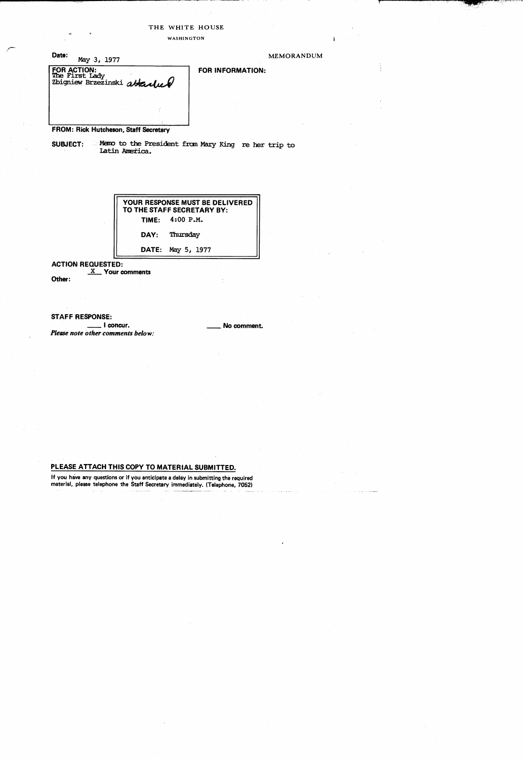### THE WHITE HOUSE

WASHINGTON

FOR INFORMATION:

Date: May 3, 1977 MEMORANDUM

FOR ACTION:<br>The First Lady Date:<br>FOR ACTION:<br>The First Lady<br>Zbigniew Brzezinski attaclee

FROM: Rick Hutcheson, Staff Secretary

SUBJECT: Memo to the President from Mary King re her trip to Latin America.

Let  $\Box$  No comment. *Please note other comments below:* 

ACTION REQUESTED:

X Your comments

YOUR RESPONSE MUST BE DELIVERED TO THE STAFF SECRETARY BY: TIME: 4:00 P.M. DAY: Thursday

DATE: May 5, 1977

Other:

STAFF RESPONSE:

### PLEASE ATTACH THIS COPY TO MATERIAL SUBMITTED.

If you have any questiohs or if you anticipate a delay in submitting the required material, please telephone the Staff Secretary immediately. (Telephone, 7052)

 $\label{eq:2.1} \frac{1}{\sqrt{2}}\left(\frac{1}{\sqrt{2}}\right)^{2} \left(\frac{1}{\sqrt{2}}\right)^{2} \left(\frac{1}{\sqrt{2}}\right)^{2} \left(\frac{1}{\sqrt{2}}\right)^{2} \left(\frac{1}{\sqrt{2}}\right)^{2} \left(\frac{1}{\sqrt{2}}\right)^{2} \left(\frac{1}{\sqrt{2}}\right)^{2} \left(\frac{1}{\sqrt{2}}\right)^{2} \left(\frac{1}{\sqrt{2}}\right)^{2} \left(\frac{1}{\sqrt{2}}\right)^{2} \left(\frac{1}{\sqrt{2}}\right)^{2} \left(\$ 

 $\sim 10^{-10}$  $\mathcal{L}^{\text{max}}_{\text{max}}$  and  $\mathcal{L}^{\text{max}}_{\text{max}}$  $\mathcal{L}^{\text{max}}_{\text{max}}$  and  $\mathcal{L}^{\text{max}}_{\text{max}}$ 

 $\label{eq:2} \mathcal{L}(\mathcal{L}) = \mathcal{L}(\mathcal{L}) \mathcal{L}(\mathcal{L})$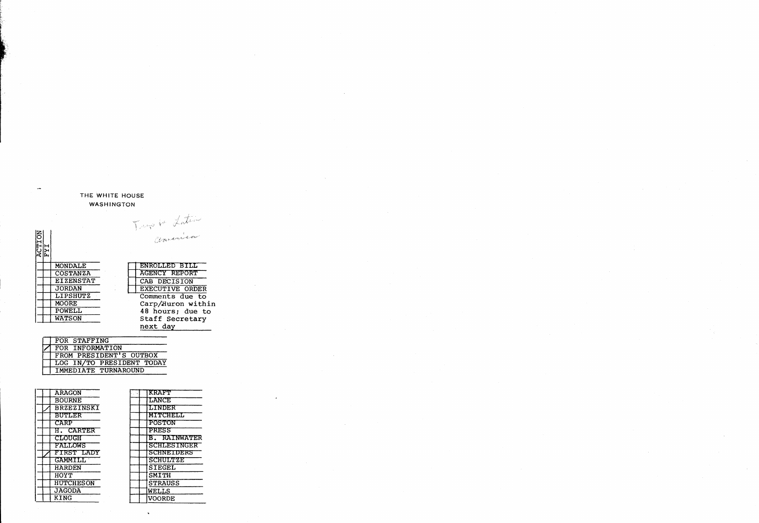|            |  | THE WHITE HOUSE |  |  |
|------------|--|-----------------|--|--|
| WASHINGTON |  |                 |  |  |
|            |  |                 |  |  |

Tup in Labor and a formulation

| Ŀ. |                  |  |
|----|------------------|--|
|    | MONDALE          |  |
|    | <b>COSTANZA</b>  |  |
|    | <b>EIZENSTAT</b> |  |
|    | <b>JORDAN</b>    |  |
|    | <b>LIPSHUTZ</b>  |  |
|    | <b>MOORE</b>     |  |
|    | POWELL           |  |
|    | <b>WATSON</b>    |  |

| ENKOLTED BITT          |
|------------------------|
| AGENCY REPORT          |
| CAB DECISION           |
| <b>EXECUTIVE ORDER</b> |
| Comments due to        |
| Carp/Huron within      |
| 48 hours; due to       |
| Staff Secretary        |
| next day               |

| FOR STAFFING              |
|---------------------------|
| FOR INFORMATION           |
| FROM PRESIDENT'S OUTBOX   |
| LOG IN/TO PRESIDENT TODAY |
| IMMEDIATE TURNAROUND      |

|  | <b>ARAGON</b>           |
|--|-------------------------|
|  | <b>BOURNE</b>           |
|  | <b>BRZEZINSKI</b>       |
|  | BUTLER                  |
|  | CARP                    |
|  | H <b>enne o</b> zvedene |
|  | <b>GLOUGH</b>           |
|  | <b>FALLOWS</b>          |
|  | FIRST LADY              |
|  | GAMMILL                 |
|  | <b>HARDEN</b>           |
|  | HOYT                    |
|  | <b>HUTCHESON</b>        |
|  | <b>JAGODA</b>           |
|  | <b>KING</b>             |

| KRAFT               |
|---------------------|
| LANCE               |
| LINDER              |
| MITCHELL            |
| POSTON              |
| <b>PRESS</b>        |
| <b>B. RATNWAVOR</b> |
| <b>SCHLESINGER</b>  |
| SCHNEIDERS          |
| SCHULTZE            |
| <b>STEGEL</b>       |
| SMITH               |
| <b>STRAUSS</b>      |
| WELLS               |
| VOORDE              |
|                     |

 $\ddot{\phantom{a}}$ 

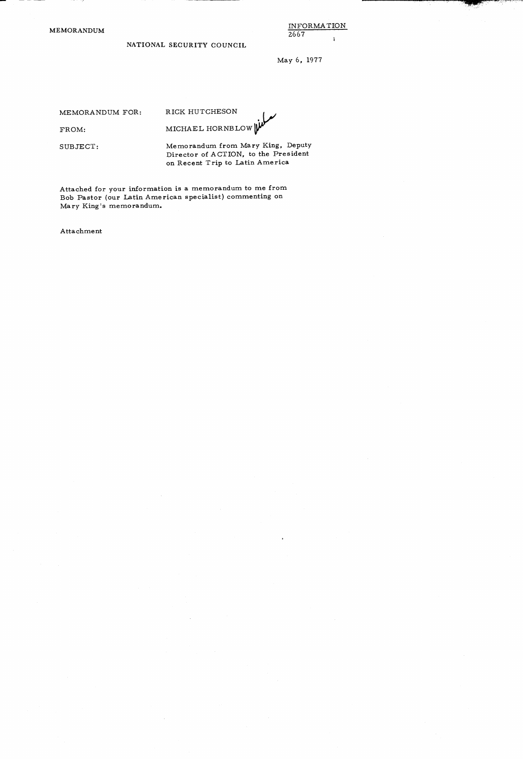$\frac{\text{INFORMATION}}{277}$ 2667  $\mathbf{I}$ 

NATIONAL SECURITY COUNCIL

RICK HUTCHESON MICHAEL HORNBLOW

MEMORANDUM FOR:

FROM: SUBJECT: May 6, 1977

Memorandum from Mary King, Deputy Director of ACTION, *to* the President on Recent Trip *to* Latin America

Attached for your information is a memorandum to me from Bob Pastor (our Latin American specialist) commenting on Mary King's memorandum.

Attachment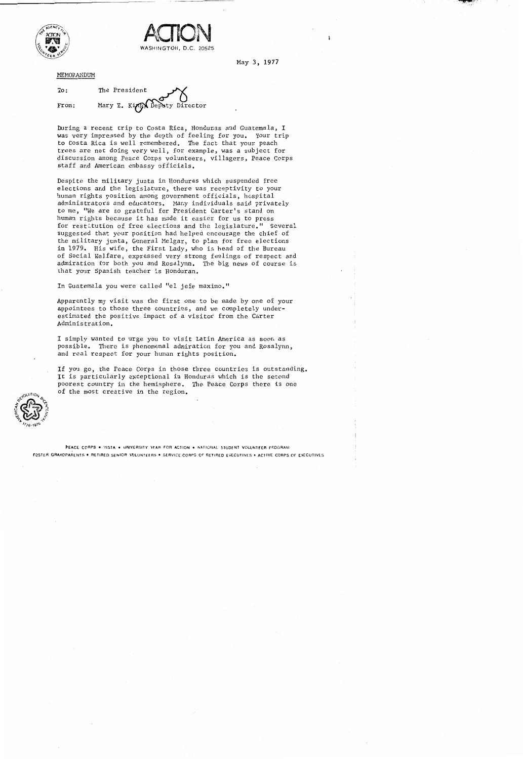MEMORANDUM

To: From: The President  $\sim$ Mary E. King Depaty Director





May 3, **1977** 

During a recent trip to Costa Rica, Honduras and Guatemala, I was very impressed by the depth of feeling for you. Your trip to Costa Rica is well remembered. The fact that your peach trees are not doing very well, for example, was *a* subject for discussion among Peace Corps volunteers, villagers, Peace Corps staff and American embassy officials.

Despite the military junta in Honduras which suspended free elections and the legislature, there was receptivity to your human rights position among government officials, hospital administrators and educators. Many individuals said privately to me, "We are so grateful for President Carter's stand on human rights because it has made it easier for us to press for restitution of free elections and the legislature." Several suggested that your position had helped encourage the chief of the military junta, General Melgar, to plan for free elections in 1979. His wife, the First Lady, who is head of the Bureau of Social Welfare, expressed very strong feelings of respect and admiration for both you and Rosalynn. The big news of course is that your Spanish teacher is Honduran.

In Guatemala you were called "el jefe maximo."

Apparently my visit was the first one to be made by one of your appointees to those three countries, and we completely underestimated the positive impact of *a* visitor from the Carter Administration.

I simply wanted to urge you to visit Latin America as soon as possible. There is phenomenal admiration for you and Rosalynn, and real respect for your human rights position.

If you go, the Peace Corps in those three countries is outstanding. It is particularly exceptional in Honduras which is the second poorest country in the hemisphere. The Peace Corps there is one of the most creative in the region.



PEACE CORPS . VISTA . UNIVERSITY YEAR FOR ACTION . NATIONAL STUDENT VOLUNTEER PROGRAM FOSTER GRANDPARENTS · RETIRED SENIOR VOLUNTEERS · SERVICE CORPS OF RETIRED EXECUTIVES · ACTIVE CORPS OF EXECUTIVES

 $\mathcal{L}(\mathcal{L})$  and  $\mathcal{L}(\mathcal{L})$  $\sim 10^{11}$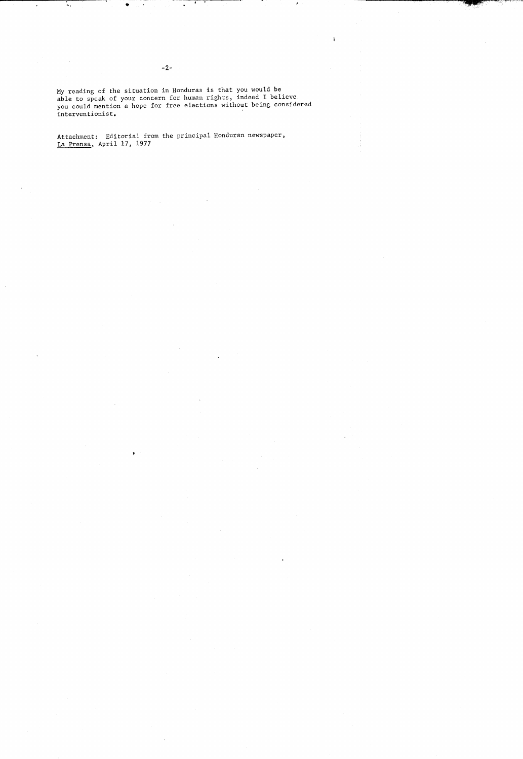My reading of the situation in Honduras is that you would be able to speak of your concern for human rights, indeed I believe you could mention a hope for free elections without being considered interventionist.

 $\Lambda$ 

Attachment: Editorial from the principal Honduran newspaper, La Prensa, April 17, 1977

 $\pmb{y}$ 

 $\sim 40$ 

 $\mathcal{L}^{\text{max}}_{\text{max}}$  and  $\mathcal{L}^{\text{max}}_{\text{max}}$ 

 $\label{eq:2.1} \mathcal{L}(\mathcal{L}^{\text{max}}_{\mathcal{L}}(\mathcal{L}^{\text{max}}_{\mathcal{L}}),\mathcal{L}^{\text{max}}_{\mathcal{L}}(\mathcal{L}^{\text{max}}_{\mathcal{L}}))$  $\label{eq:2} \mathcal{L} = \mathcal{L} \left( \mathcal{L} \right) \left( \mathcal{L} \right) \left( \mathcal{L} \right) \left( \mathcal{L} \right)$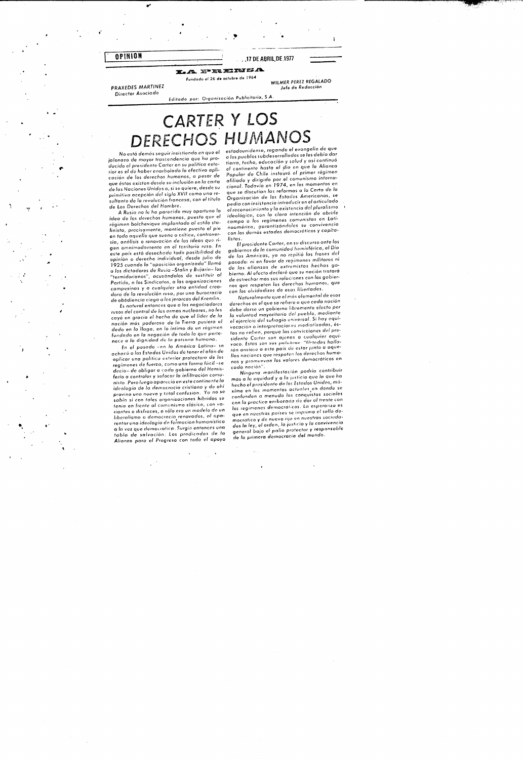| OPINION |                                  | 17 DE ABRIL DE 1977 |  |
|---------|----------------------------------|---------------------|--|
|         | LA FREINSA                       |                     |  |
|         | Fundado el 26 de octubre de 1964 |                     |  |

PRAXEDES MARTINEZ Director Asociado

WILMER PEREZ REGALADO Jefe de Redacción

Editado por: Organización Publicitaria, S.A.

# CARTER Y LOS DERECHOS HUMANOS

No está demós seguir insistiendo en que el jalonazo de mayor trascendencia que ha producido el presidente Carter en su política exterior es el de haber enarbolado la efectiva aplicación de los derechos humanos, a pesar de que éstos existen desde su inclusión en la carta de las Naciones Unidas o, si se quiere, desde su primitiva acepción del siglo XVII como una resultante de la revolución francesa, con el título de Los Derechos del Hombre.

A Rusia no le ha parecido muy oportuno la idea de los derechos humanos, puesto que el régimen bolchevique implantado al estilo stalinista, precisamente, mantiene puesto el pie en todo aquello que suene a crítica, controversia, análisis o renovación de las ideas que rigen omnímodamente en el territorio ruso. En este país está desechada toda posibilidad de opinión o derecho individual, desde julio de 1925 cuando la "oposición organizada" llamó a los dictadores de Rusia -Stalin y Bujarin-los "termidorianos", acusándolos de sustituir al Partido, a los Sindicatos, a las organizaciones campesinas y a cualquier otra entidad creadora de la revolución rusa, por una burocracia de obèdiencia ciega a los jerarcas del Kremlín.

Es natural entonces que a los negociadores rusos del control de las armas nucleares , no les cayó en gracia el hecho de que el líder de la nación más poderosa de la Tierra pusiera el dedo en la llaga, en lo íntimo de un régimen fundado en la negación de todo lo que pertenece a la dignidad de la persona humana.

En el pasado -- en la América Latina-se achacó a los Estados Unidos de tener el afán de aplicar una politica exterior protectora de los regímenes de fuerza, como una forma fácil -se decio- de obligar a cada gobierno del Hemisferio a controlar y sofocar la infiltración comunisto. Pero luego apareció en este continente la ideología de la democracia cristiana y de ahí provino una nueva y total confusión. Ya no se sabía si con tales organizaciones hibridas se tenia en frente al comunismo clásico, con variantes o disfraces, o sólo era un modelo de un liberalismo o democracia renovados, al aparentar una ideología de formación humanística a la vez que democrática. Surgió entonces una tabla de salvación: Los prodicados de la Alianza para el Progreso con todo el apoyo

estadounidense, regando el evangelio de que a los pueblos subdesarrollados se les debía dar tierra, techo, educación y salud y así continuó el continente hasta el día en que la Alianza Popular de Chile instauró el primer régimen afiliado y dirigido por el comunismo internacional. Todavía en 1974, en los momentos en que se discutían las reformas a la Carta de la Organización de los Estados Americanas, se pedía con insistencia introducir en el articulado el reconocimiento y la existencia del pluralismo ideológico, con la clara intención de abrirle campo a los regímenes comunistas en Latinoamérica, garantizándoles su convivencia con los demás estados democráticos y capitalistas.

El presidente Carter, en su discurso ante los gobiernos de la comunidad hemisférica, el Día de las Américas, ya no repitió las frases del pasado: ni en favor de regímenes militares ni de las alianzas de extremistas hechas gobierno. Al efecto declaró que su nación tratará de estrechar más sus relaciones con los gobiernos que respeten los derechos humanos, que con los olvidadizos de esas libertades.

Naturalmente que el más elemental de esos derechos es el que se refiere a que coda nación debe darse un gobierno libremente electo por la voluntad mayoritario del pueblo, mediante el ejercicio del sufragio universal. Si hay equivocación o interpretacior es mediatizadas, éstas no caben, porque las convicciones del presidente Carter son ajenos a cualquier equivoco. Estas son sus palabras: "Hetades hallarán ansioso a este país de estar junto a aquellas naciones que respeten los derechos humanos y promuevan los valores democráticos en cada nación".

Ninguna maniféstación podría contribuir mas a la equidad y a la justicia que la que ha hecho el presidente de los Estados Unidos, máxime en los momentos actuales en donde se confunden a menudo las conquistas sociales can la práctica embozada de dar al traste con las regimenos democráticos. La esperanza es que en nuestros países se imprima el sello democrático y de nuevo rija en nuestras sociedades la ley, el orden, la justicia y la convivencia general bajo el palio protector y responsable de la primera demacracia del mundo.

 $\mathcal{L}^{\text{max}}_{\text{max}}$  and  $\mathcal{L}^{\text{max}}_{\text{max}}$ 

 $\mathcal{L}^{\text{max}}_{\text{max}}$  and  $\mathcal{L}^{\text{max}}_{\text{max}}$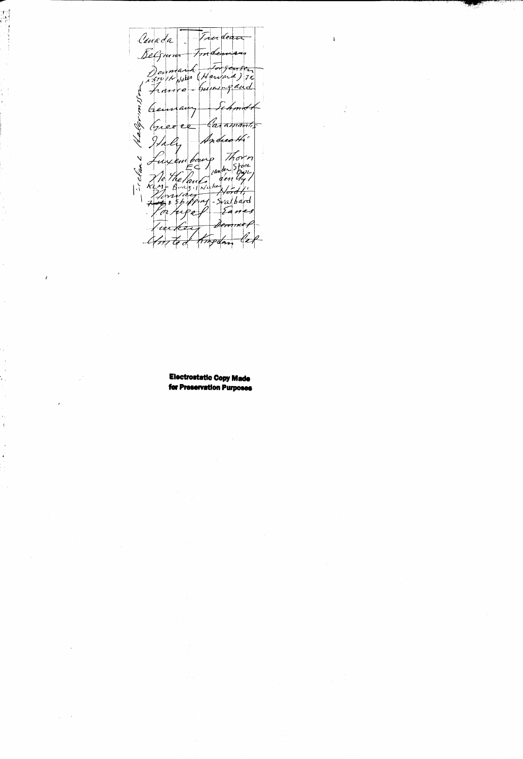

 $\frac{1}{2}$ 

**Electrostatic Copy Made** for Preservation Purposes

 $\pmb{\mathcal{N}}$ 

 $\label{eq:2.1} \frac{1}{\sqrt{2}}\int_{\mathbb{R}^3}\frac{1}{\sqrt{2}}\left(\frac{1}{\sqrt{2}}\right)^2\frac{1}{\sqrt{2}}\left(\frac{1}{\sqrt{2}}\right)^2\frac{1}{\sqrt{2}}\left(\frac{1}{\sqrt{2}}\right)^2\frac{1}{\sqrt{2}}\left(\frac{1}{\sqrt{2}}\right)^2\frac{1}{\sqrt{2}}\left(\frac{1}{\sqrt{2}}\right)^2\frac{1}{\sqrt{2}}\frac{1}{\sqrt{2}}\frac{1}{\sqrt{2}}\frac{1}{\sqrt{2}}\frac{1}{\sqrt{2}}\frac{1}{\sqrt{2}}$ 

 $\label{eq:2.1} \mathcal{L}_{\mathcal{A}}(\mathcal{A}) = \mathcal{L}_{\mathcal{A}}(\mathcal{A}) = \mathcal{L}_{\mathcal{A}}(\mathcal{A})$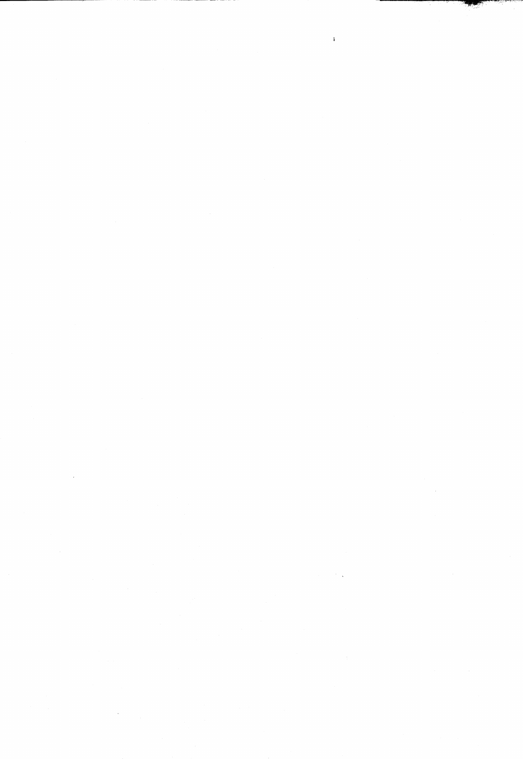

 $\label{eq:2.1} \frac{1}{\sqrt{2}}\int_{0}^{\infty}\frac{1}{\sqrt{2\pi}}\left(\frac{1}{\sqrt{2\pi}}\right)^{2}d\mu\,d\mu\,.$  $\label{eq:2.1} \frac{1}{\left\| \left( \frac{1}{\sqrt{2}} \right)^2 \right\|} \leq \frac{1}{\sqrt{2}} \sum_{i=1}^{\infty} \frac{1}{\sqrt{2}} \sum_{i=1}^{\infty} \frac{1}{\sqrt{2}} \sum_{i=1}^{\infty} \frac{1}{\sqrt{2}} \sum_{i=1}^{\infty} \frac{1}{\sqrt{2}} \sum_{i=1}^{\infty} \frac{1}{\sqrt{2}} \sum_{i=1}^{\infty} \frac{1}{\sqrt{2}} \sum_{i=1}^{\infty} \frac{1}{\sqrt{2}} \sum_{i=1}^{\infty} \$ 

 $\mathcal{O}(\mathcal{F})$ 

 $\label{eq:2.1} \frac{1}{\sqrt{2\pi}}\int_{\mathbb{R}^3}\frac{d\mu}{\sqrt{2\pi}}\left(\frac{d\mu}{\mu}\right)^2\frac{d\mu}{\sqrt{2\pi}}\int_{\mathbb{R}^3}\frac{d\mu}{\sqrt{2\pi}}\frac{d\mu}{\sqrt{2\pi}}\frac{d\mu}{\sqrt{2\pi}}\frac{d\mu}{\sqrt{2\pi}}\frac{d\mu}{\sqrt{2\pi}}\frac{d\mu}{\sqrt{2\pi}}\frac{d\mu}{\sqrt{2\pi}}\frac{d\mu}{\sqrt{2\pi}}\frac{d\mu}{\sqrt{2\pi}}\frac{d\mu}{\$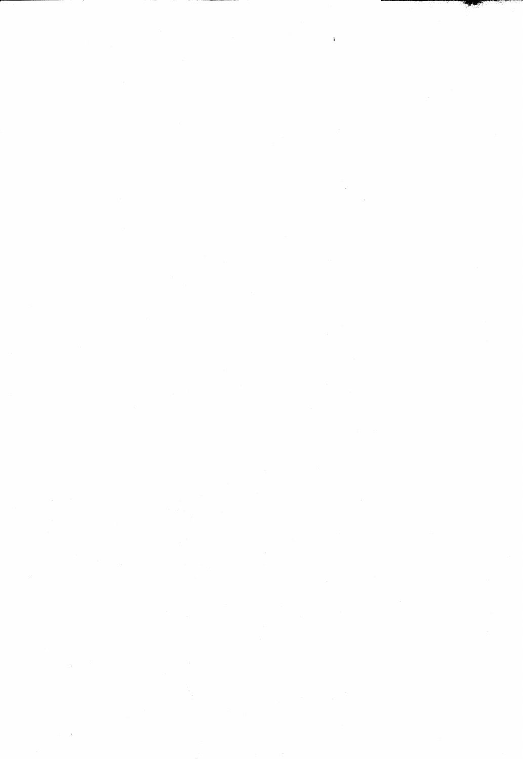$\mathcal{L}(\mathcal{A})$  .  $\label{eq:2.1} \frac{1}{\sqrt{2}}\int_{\mathbb{R}^3}\frac{1}{\sqrt{2}}\left(\frac{1}{\sqrt{2}}\right)^2\frac{1}{\sqrt{2}}\left(\frac{1}{\sqrt{2}}\right)^2\frac{1}{\sqrt{2}}\left(\frac{1}{\sqrt{2}}\right)^2\frac{1}{\sqrt{2}}\left(\frac{1}{\sqrt{2}}\right)^2\frac{1}{\sqrt{2}}\left(\frac{1}{\sqrt{2}}\right)^2\frac{1}{\sqrt{2}}\frac{1}{\sqrt{2}}\frac{1}{\sqrt{2}}\frac{1}{\sqrt{2}}\frac{1}{\sqrt{2}}\frac{1}{\sqrt{2}}$ 

 $\label{eq:1} \frac{1}{\sqrt{2}}\int_{0}^{\infty}\frac{1}{\sqrt{2\pi}}\left(\frac{1}{\sqrt{2\pi}}\right)^{2}d\mu$ 

 $\label{eq:2.1} \frac{1}{\sqrt{2\pi}}\int_{\mathbb{R}^3}\frac{d\mathbf{r}}{|\mathbf{r}|^2}\,d\mathbf{r}=\int_{\mathbb{R}^3}\frac{d\mathbf{r}}{|\mathbf{r}|^2}\,d\mathbf{r}=\int_{\mathbb{R}^3}\frac{d\mathbf{r}}{|\mathbf{r}|^2}\,d\mathbf{r}.$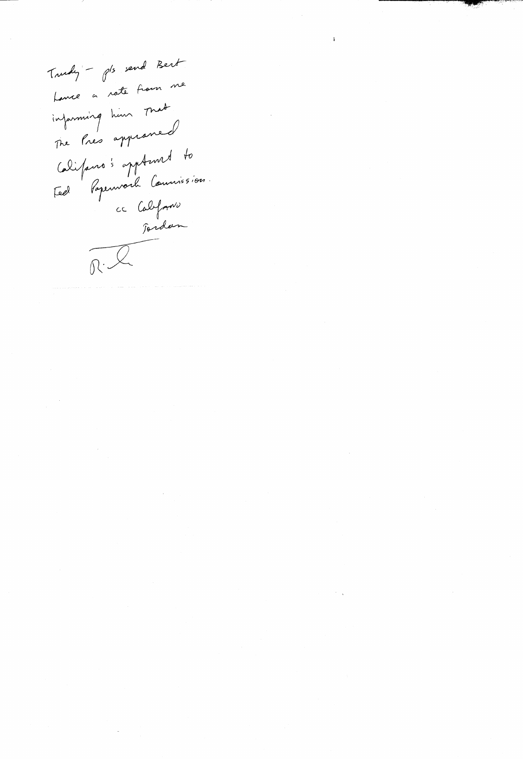Trucky - pls send Bert Lance a rate from me informing him that The Pres approved Califaire 5 apptement to Feel Popernard Commission ce Califonnie Tordan R.I

 $\frac{1}{2} \left( \frac{1}{2} \right)^{2}$ 

 $\label{eq:2.1} \frac{1}{\sqrt{2\pi}}\int_{0}^{\infty}\frac{1}{\sqrt{2\pi}}\left(\frac{1}{\sqrt{2\pi}}\right)^{2\pi} \frac{1}{\sqrt{2\pi}}\int_{0}^{\infty}\frac{1}{\sqrt{2\pi}}\left(\frac{1}{\sqrt{2\pi}}\right)^{2\pi}\frac{1}{\sqrt{2\pi}}\frac{1}{\sqrt{2\pi}}\int_{0}^{\infty}\frac{1}{\sqrt{2\pi}}\frac{1}{\sqrt{2\pi}}\frac{1}{\sqrt{2\pi}}\frac{1}{\sqrt{2\pi}}\frac{1}{\sqrt{2\pi}}\frac{1}{\sqrt{2$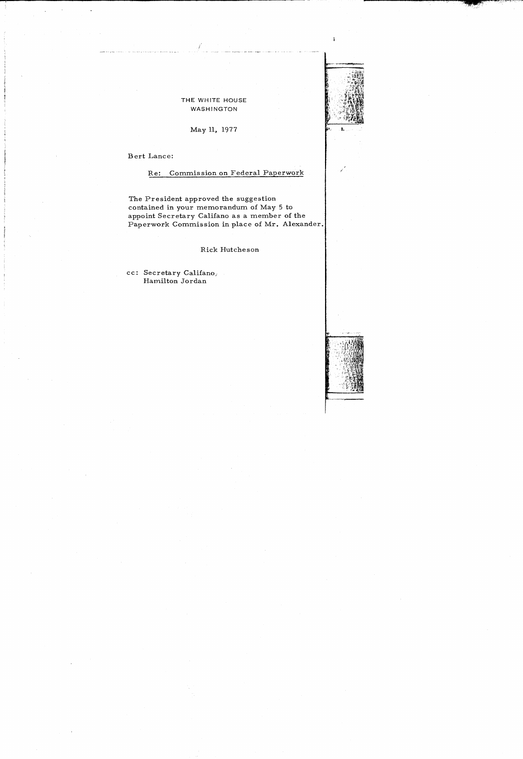

 $\sqrt{2}$ 

Bert Lance:

### THE WHITE HOUSE WASHINGTON

May 11, 1977

Re: Commission on Federal Paperwork

The President approved the suggestion contained in your memorandum of May 5 to appoint Secretary Califano as a member of the Paperwork Commission in place of Mr. Alexander.

Rick Hutcheson

cc: Secretary Califano; Hamilton Jordan



 $\frac{1}{2}$ 

 $\label{eq:2.1} \mathcal{L}(\mathcal{L}^{\text{max}}_{\mathcal{L}}(\mathcal{L}^{\text{max}}_{\mathcal{L}}))\leq \mathcal{L}(\mathcal{L}^{\text{max}}_{\mathcal{L}}(\mathcal{L}^{\text{max}}_{\mathcal{L}}))$ 

 $\label{eq:2.1} \frac{1}{\sqrt{2}}\int_{\mathbb{R}^3}\frac{1}{\sqrt{2}}\left(\frac{1}{\sqrt{2}}\right)^2\frac{1}{\sqrt{2}}\left(\frac{1}{\sqrt{2}}\right)^2\frac{1}{\sqrt{2}}\left(\frac{1}{\sqrt{2}}\right)^2.$ 

 $\omega_{\rm{eff}}=2$ 

. *)'* 

 $\frac{1}{2} \frac{1}{2} \frac{1}{2}$ 

*/*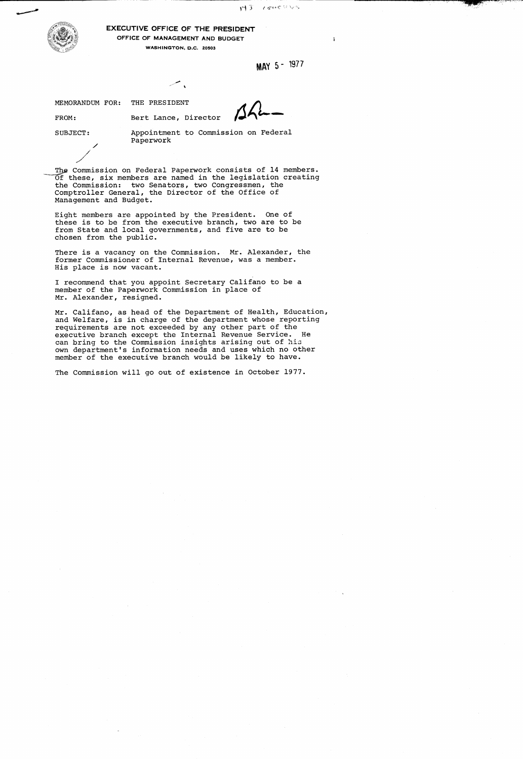MJ concevs

------------,--~-......,..,~~--r-· ~,.,., .. ,,-..,. ........ ,. ,., ..... ,

 $\mathcal{L}(\mathcal{L})$  and  $\mathcal{L}(\mathcal{L})$  . In the  $\mathcal{L}(\mathcal{L})$ 

### EXECUTIVE OFFICE OF THE PRESIDENT OFFICE OF MANAGEMENT AND BUDGET

WASHINGTON, D.C. 20503

 $\ddot{\phantom{0}}$ 

MAY 5- 1977

 $\mathbf{I}$ 

MEMORANDUM FOR: THE PRESIDENT<br>FROM: Bert Lance, Director  $\beta$ 

SUBJECT:

/

/

The Commission on Federal Paperwork consists of 14 members. Of these, six members are named in the legislation creating the Commission: two Senators, two Congressmen, the Comptroller General, the Director of the Office of Management and Budget.

Appointment to Commission on Federal Paperwork

Eight members are appointed by the President. One of these is to be from the executive branch, two are to be from State and local governments, and five are to be chosen from the public.

There is a vacancy on the Commission. Mr. Alexander, the former Commissioner of Internal Revenue, was a member. His place is now vacant.

I recommend that you appoint Secretary Califano to be a member of the Paperwork Commission in place of Mr. Alexander, resigned.

Mr. Califano, as head of the Department of Health, Education, and Welfare, is in charge of the department whose reporting requirements are not exceeded by any other part of the executive branch except the Internal Revenue Service. He can bring to the Commission insights arising out of his own department's information needs and uses which no other member of the executive branch would be likely to have.

The Commission will go out of existence in October 1977.

 $\label{eq:2.1} \frac{1}{2}\sum_{i=1}^n\frac{1}{2}\sum_{j=1}^n\frac{1}{2}\sum_{j=1}^n\frac{1}{2}\sum_{j=1}^n\frac{1}{2}\sum_{j=1}^n\frac{1}{2}\sum_{j=1}^n\frac{1}{2}\sum_{j=1}^n\frac{1}{2}\sum_{j=1}^n\frac{1}{2}\sum_{j=1}^n\frac{1}{2}\sum_{j=1}^n\frac{1}{2}\sum_{j=1}^n\frac{1}{2}\sum_{j=1}^n\frac{1}{2}\sum_{j=1}^n\frac{1}{2}\sum_{j=1}^n\$ 

 $\label{eq:2.1} \mathcal{L}_{\mathcal{A}}(\mathcal{A}) = \mathcal{L}_{\mathcal{A}}(\mathcal{A}) = \mathcal{L}_{\mathcal{A}}(\mathcal{A}) = \mathcal{L}_{\mathcal{A}}(\mathcal{A})$ 

 $\label{eq:2.1} \frac{1}{\sqrt{2}}\int_{\mathbb{R}^3}\frac{d\mu}{\sqrt{2}}\left(\frac{d\mu}{\mu}\right)^2\frac{d\mu}{\sqrt{2}}\left(\frac{d\mu}{\mu}\right)^2\frac{d\mu}{\sqrt{2}}\left(\frac{d\mu}{\mu}\right)^2\frac{d\mu}{\sqrt{2}}\left(\frac{d\mu}{\mu}\right)^2\frac{d\mu}{\sqrt{2}}\left(\frac{d\mu}{\mu}\right)^2\frac{d\mu}{\sqrt{2}}\frac{d\mu}{\sqrt{2}}\frac{d\mu}{\sqrt{2}}\frac{d\mu}{\sqrt{2}}\frac{d\mu}{$ 

' *..* /'

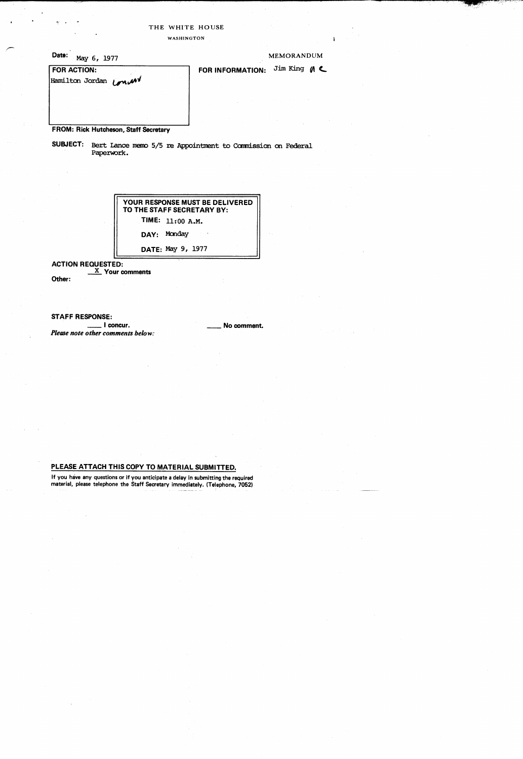#### THE WHITE HOUSE

WASHINGTON

Date: May 6, 1977 MEMORANDUM

Hamilton Jordan *Immun* 

FOR ACTION:  $\overline{P}$  FOR INFORMATION:  $\overline{J}$  im King  $\rho \subset$ 

SUBJECT: Bert Lance memo 5/5 re Appointment to Commission on Federal Paperwork.

> YOUR RESPONSE MUST BE DELIVERED TO THE STAFF SECRETARY BY: TIME: 11:00 A.M.

> > DAY: Monday

FROM: Rick Hutcheson, Staff Secretary

ACTION REQUESTED:

 $X$  Your comments

DATE: May 9, 1977

Other:

STAFF RESPONSE:

 $\sim$   $\sim$ 

\_\_ I concur. \_\_ No comment. *Please note other comments below:* 

### PLEASE ATTACH THIS COPY TO MATERIAL SUBMITTED.

If you have any questions or if you anticipate a delay in submitting the required material, please telephone the Staff Secretary immediately. (Telephone, 7052)

 $\sim$ 

 $\sim$ 

 $\sim 30$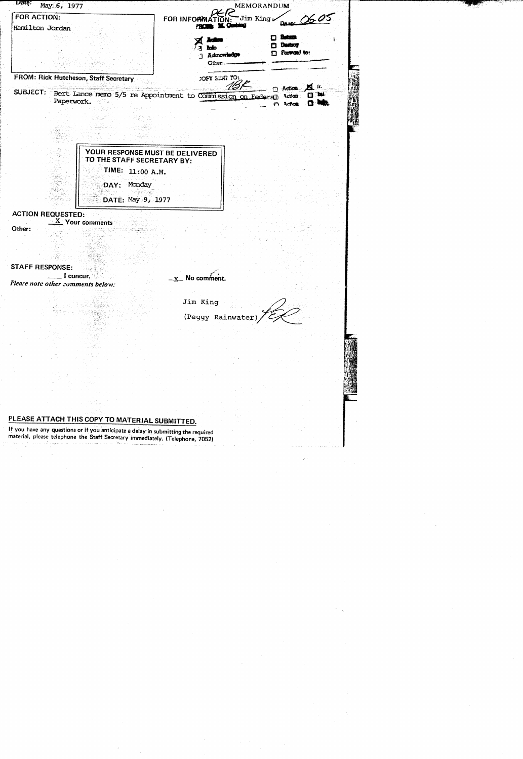

 $\label{eq:2.1} \mathcal{L}_{\mathcal{A}}(\mathcal{A}) = \mathcal{L}_{\mathcal{A}}(\mathcal{A}) \otimes \mathcal{L}_{\mathcal{A}}(\mathcal{A})$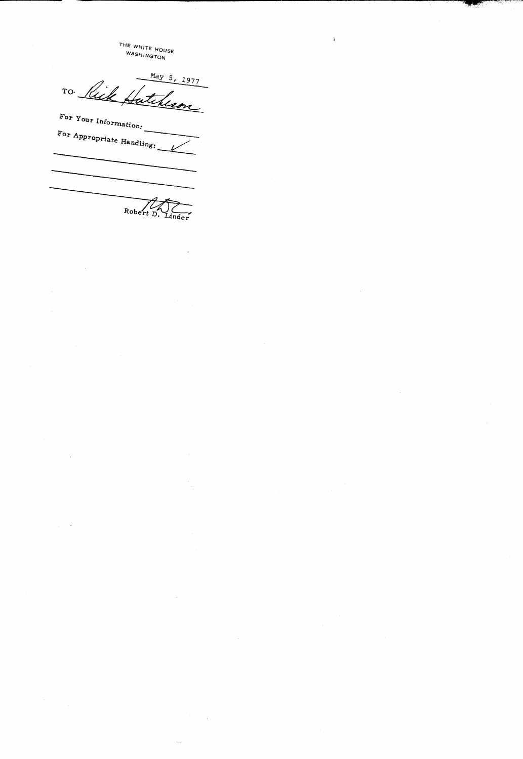THE WHITE HOUSE WASHINGTON

May 5, 1977 TO Rick Hatcheson

**ALLES CO.** 

For Your Information:

 $\mathbf{1}$ 

For Appropriate Handling. ----- ---------------------------------------

---------------------------------------- **Robert** /~ **D. Linder** 

 $\label{eq:2.1} \frac{1}{\sqrt{2}}\sum_{i=1}^n\frac{1}{\sqrt{2}}\sum_{i=1}^n\frac{1}{\sqrt{2}}\sum_{i=1}^n\frac{1}{\sqrt{2}}\sum_{i=1}^n\frac{1}{\sqrt{2}}\sum_{i=1}^n\frac{1}{\sqrt{2}}\sum_{i=1}^n\frac{1}{\sqrt{2}}\sum_{i=1}^n\frac{1}{\sqrt{2}}\sum_{i=1}^n\frac{1}{\sqrt{2}}\sum_{i=1}^n\frac{1}{\sqrt{2}}\sum_{i=1}^n\frac{1}{\sqrt{2}}\sum_{i=1}^n\frac$ 

 $\label{eq:2.1} \mathcal{L}(\mathcal{L}) = \mathcal{L}(\mathcal{L}) \mathcal{L}(\mathcal{L}) = \mathcal{L}(\mathcal{L}) \mathcal{L}(\mathcal{L}) = \mathcal{L}(\mathcal{L}) \mathcal{L}(\mathcal{L})$  $\label{eq:2.1} \sum_{\substack{ \mathcal{M}(\mathcal{M}) \leq \mathcal{M}(\mathcal{M}) \\ \mathcal{M}(\mathcal{M}) \leq \mathcal{M}(\mathcal{M})}} \sum_{\substack{ \mathcal{M}(\mathcal{M}) \leq \mathcal{M}(\mathcal{M}) \\ \mathcal{M}(\mathcal{M}) \leq \mathcal{M}(\mathcal{M})}} \sum_{\substack{ \mathcal{M}(\mathcal{M}) \leq \mathcal{M}(\mathcal{M}) \\ \mathcal{M}(\mathcal{M}) \leq \mathcal{M}(\mathcal{M})}} \sum_{\substack{ \mathcal{M}(\mathcal{M}) \leq$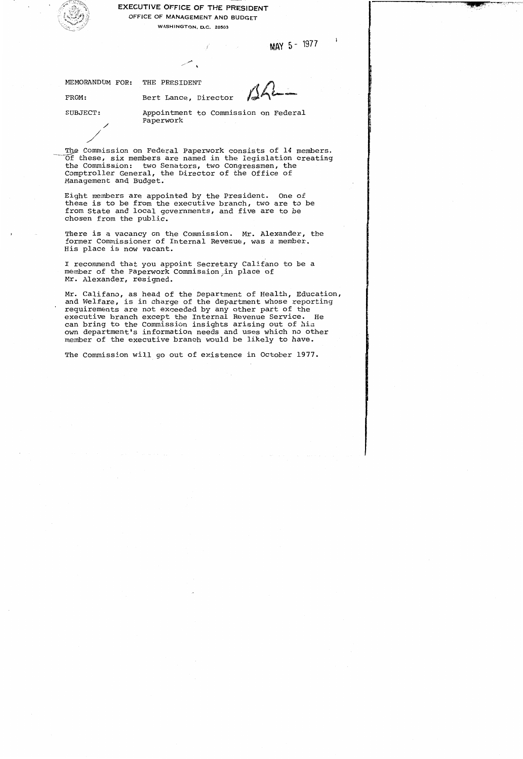EXECUTIVE OFFICE OF THE PRESIDENT OFFICE OF MANAGEMENT AND BUDGET

WASHINGTON, D.C. 20503

MAY 5- 1977

SUBJECT: Appointment to Commission on Federal Paperwork

The Commission on Federal Paperwork consists of 14 members.<br>Of these, six members are named in the legislation creating the Commission: two Senators, two Congressmen, the Comptroller General, the Director of the Office of Management and Budget.

I recommend that you appoint Secretary Califano to be a member of the Paperwork Commission in place of Mr. Alexander, resigned.

Eight members are appointed by the President. One of these is to be from the executive branch, two are to be from State and local governments, and five are to be chosen from the public.

There is a vacancy on the Commission. Mr. Alexander, the former Commissioner of Internal Revenue, was a member. His place is now vacant.

Mr. Califano, as head of the Department of Health, Education, and Welfare, is in charge of the department whose reporting requirements are not exceeded by any other part of the executive branch except the Internal Revenue Service. He can bring to the Commission insights arising out of his own department's information needs and uses which no other member of the executive branch would be likely to have.

The Commission will go out of existence in October 1977.

 $\mathcal{L}(\mathcal{A})$  and  $\mathcal{L}(\mathcal{A})$  . In the  $\mathcal{L}(\mathcal{A})$ 

 $\label{eq:2.1} \mathcal{L}(\mathcal{L}^{\mathcal{L}}_{\mathcal{L}}(\mathcal{L}^{\mathcal{L}}_{\mathcal{L}})) = \mathcal{L}(\mathcal{L}^{\mathcal{L}}_{\mathcal{L}}(\mathcal{L}^{\mathcal{L}}_{\mathcal{L}})) = \mathcal{L}(\mathcal{L}^{\mathcal{L}}_{\mathcal{L}}(\mathcal{L}^{\mathcal{L}}_{\mathcal{L}}))$  $\label{eq:2.1} \begin{split} \mathcal{L}_{\text{max}}(\mathbf{r}) & = \mathcal{L}_{\text{max}}(\mathbf{r}) \mathcal{L}_{\text{max}}(\mathbf{r}) \\ & = \mathcal{L}_{\text{max}}(\mathbf{r}) \mathcal{L}_{\text{max}}(\mathbf{r}) \mathcal{L}_{\text{max}}(\mathbf{r}) \mathcal{L}_{\text{max}}(\mathbf{r}) \mathcal{L}_{\text{max}}(\mathbf{r}) \mathcal{L}_{\text{max}}(\mathbf{r}) \mathcal{L}_{\text{max}}(\mathbf{r}) \mathcal{L}_{\text{max}}(\mathbf{r}) \mathcal{L}_{\text{max}}(\mathbf$ 

 $\label{eq:2.1} \mathcal{L}(\mathcal{L}^{\mathcal{L}}_{\mathcal{L}}(\mathcal{L}^{\mathcal{L}}_{\mathcal{L}})) = \mathcal{L}(\mathcal{L}^{\mathcal{L}}_{\mathcal{L}}(\mathcal{L}^{\mathcal{L}}_{\mathcal{L}})) = \mathcal{L}(\mathcal{L}^{\mathcal{L}}_{\mathcal{L}}(\mathcal{L}^{\mathcal{L}}_{\mathcal{L}})) = \mathcal{L}(\mathcal{L}^{\mathcal{L}}_{\mathcal{L}}(\mathcal{L}^{\mathcal{L}}_{\mathcal{L}}))$ 

-----......,.....,.....,...~-..,....,~. -'-~"lll .• \_.;•:¢•.•f'::""',<.~, ~:·;.:'·~~~··-;,~-·~-~

. *..* /"

MEMORANDUM FOR: THE PRESIDENT

FROM: Bert Lance, Director

 $\sim$   $\sim$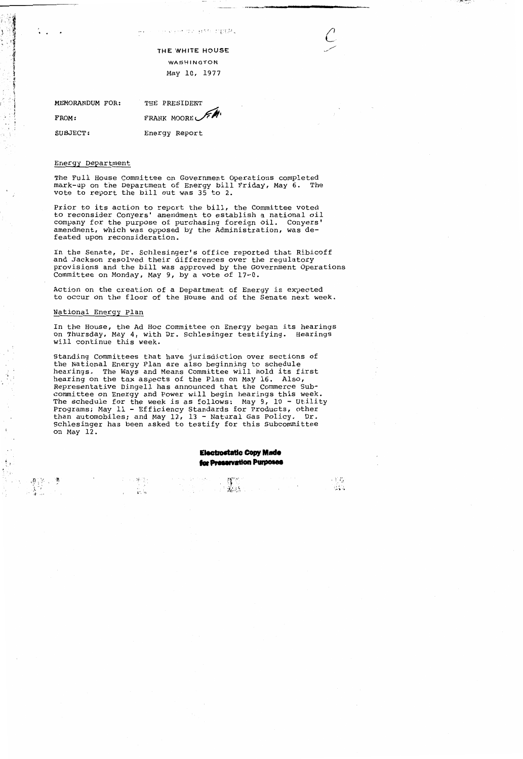分泌分泌的饮食的 的复数限定

#### THE WHITE HOUSE

WASHINGTON

May 10, 1977

MEMORANDUM FOR: THE PRESIDENT

FROM:

FRANK MOORE

SUBJECT:

Energy Report

#### Energy Department

The Full House Committee on Government Operations completed mark-up on the Department of Energy bill Friday, May 6. The vote to report the bill out was 35 to 2.

Prior to its action to report the bill, the Committee voted to reconsider Conyers' amendment to establish a national oil company for the purpose of purchasing foreign oil. Conyers' amendment, which was opposed by the Administration, was defeated upon reconsideration.

In the Senate, Dr. Schlesinger's office reported that Ribicoff and Jackson resolved their differences over the regulatory provisions and the bill was approved by the Government Operations Committee on Monday, May 9, by a vote of 17-0.

Action on the creation of a Department of Energy is expected to occur on the floor of the House and of the Senate next week.

#### National Energy Plan

Ŧ

In the House, the Ad Hoc Committee on Energy began its hearings on Thursday, May 4, with Dr. Schlesinger testifying. Hearings will continue this week.

Standing Committees that have jurisdiction over sections of the National Energy Plan are also beginning to schedule hearings. The Ways and Means Committee will hold its first hearing on the tax aspects of the Plan on May 16. Also, Representative Dingell has announced that the Commerce Subcommittee on Energy and Power will begin hearings this week. The schedule for the week is as follows: May 9, 10 - Utility Programs; May 11 - Efficiency Standards for Products, other than automobiles; and May 12, 13 - Natural Gas Policy. Dr. Schlesinger has been asked to testify for this Subcommittee on May 12.

### **Electrostatic Copy Made** for Preservation Purposes

 $\rightarrow$  1.4  $\sigma$ 

 $\sim 10$ 

 $\mathcal{L}^{\text{max}}_{\text{max}}$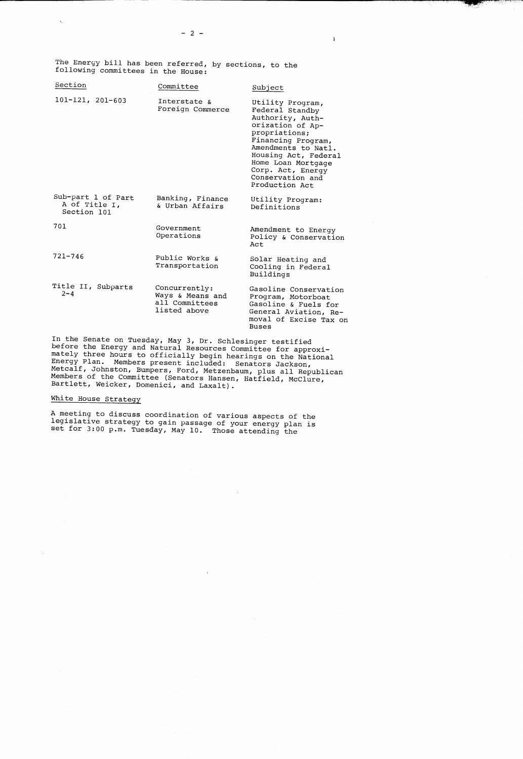$\mathcal{A}$ 

'·

The Energy bill has been referred, by sections, to the following committees in the House:

| Section                                            | Committee                                                           | Subject                                                                                                                                                                                                                                            |
|----------------------------------------------------|---------------------------------------------------------------------|----------------------------------------------------------------------------------------------------------------------------------------------------------------------------------------------------------------------------------------------------|
| $101 - 121, 201 - 603$                             | Interstate &<br>Foreign Commerce                                    | Utility Program,<br>Federal Standby<br>Authority, Auth-<br>orization of Ap-<br>propriations;<br>Financing Program,<br>Amendments to Natl.<br>Housing Act, Federal<br>Home Loan Mortgage<br>Corp. Act, Energy<br>Conservation and<br>Production Act |
| Sub-part 1 of Part<br>A of Title I,<br>Section 101 | Banking, Finance<br>& Urban Affairs                                 | Utility Program:<br>Definitions                                                                                                                                                                                                                    |
| 701                                                | Government<br>Operations                                            | Amendment to Energy<br>Policy & Conservation<br>Act                                                                                                                                                                                                |
| $721 - 746$                                        | Public Works &<br>Transportation                                    | Solar Heating and<br>Cooling in Federal<br>Buildings                                                                                                                                                                                               |
| Title II, Subparts<br>$2 - 4$                      | Concurrently:<br>Ways & Means and<br>all Committees<br>listed above | Gasoline Conservation<br>Program, Motorboat<br>Gasoline & Fuels for<br>General Aviation, Re-<br>moval of Excise Tax on<br><b>Buses</b>                                                                                                             |

A meeting to discuss coordination of various aspects of the legislative strategy to gain passage of your energy plan is set for 3:00 p.m. Tuesday, May 10. Those attending the

 $\mathcal{L}^{\text{max}}_{\text{max}}$ 

 $\mathcal{L}(\mathcal{A})$ 

 $\label{eq:2.1} \mathcal{L}_{\mathcal{A}}(\mathcal{A}) = \mathcal{L}_{\mathcal{A}}(\mathcal{A}) = \mathcal{L}_{\mathcal{A}}(\mathcal{A})$ 

In the Senate on Tuesday, May 3, Dr. Schlesinger testified before the Energy and Natural Resources Committee for approximately three hours to officially begin hearings on the National Energy Plan. Members present included: Senators Jackson, Metcalf, Johnston, Bumpers, Ford, Metzenbaum, plus all Republican Members of the Committee (Senators Hansen, Hatfield, McClure, Bartlett, Weicker, Domenici, and Laxalt).

## White House Strategy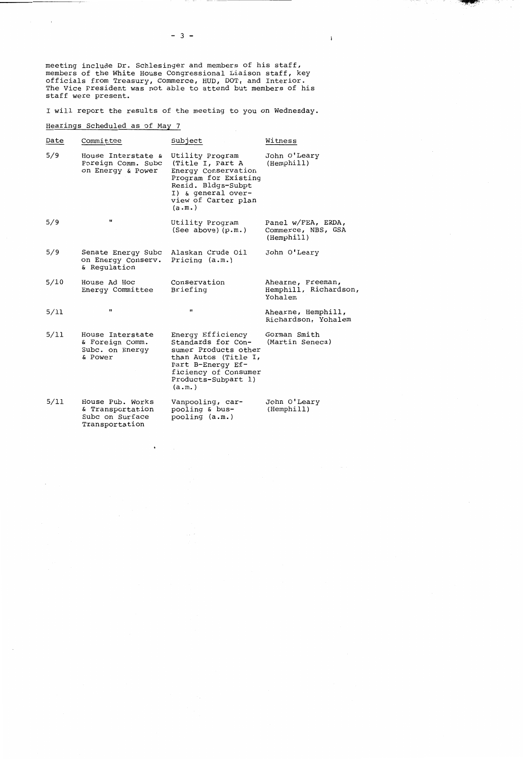meeting include Dr. Schlesinger and members of his staff, members of the White House Congressional Liaison staff, key officials from Treasury, Commerce, HUD, DOT, and Interior. The Vice President was not able to attend but members of his staff were present.

I will report the results of the meeting to you on Wednesday.

### Hearings Scheduled as of May 7

| Date | Committee                                                                 | Subject                                                                                                                                                               | Witness                                                |
|------|---------------------------------------------------------------------------|-----------------------------------------------------------------------------------------------------------------------------------------------------------------------|--------------------------------------------------------|
| 5/9  | House Interstate &<br>Foreign Comm. Subc<br>on Energy & Power             | Utility Program<br>(Title I, Part A<br>Energy Conservation<br>Program for Existing<br>Resid. Bldgs-Subpt<br>I) & general over-<br>view of Carter plan<br>(a.m.)       | John O'Leary<br>(Hemphill)                             |
| 5/9  | Ħ                                                                         | Utility Program<br>(See above) $(p.m.)$                                                                                                                               | Panel w/FEA, ERDA,<br>Commerce, NBS, GSA<br>(Hemphill) |
| 5/9  | Senate Energy Subc<br>on Energy Conserv.<br>& Regulation                  | Alaskan Crude Oil<br>Pricing $(a.m.)$                                                                                                                                 | John O'Leary                                           |
| 5/10 | House Ad Hoc<br>Energy Committee                                          | Conservation<br>Briefing                                                                                                                                              | Ahearne, Freeman,<br>Hemphill, Richardson,<br>Yohalem  |
| 5/11 | 11                                                                        | $\mathbf{u}$                                                                                                                                                          | Ahearne, Hemphill,<br>Richardson, Yohalem              |
| 5/11 | House Interstate<br>& Foreign Comm.<br>Subc. on Energy<br>& Power         | Energy Efficiency<br>Standards for Con-<br>sumer Products other<br>than Autos (Title I,<br>Part B-Energy Ef-<br>ficiency of Consumer<br>Products-Subpart 1)<br>(a.m.) | Gorman Smith<br>(Martin Seneca)                        |
| 5/11 | House Pub. Works<br>& Transportation<br>Subc on Surface<br>Transportation | Vanpooling, car-<br>pooling & bus-<br>pooling (a.m.)                                                                                                                  | John O'Leary<br>(Hemphill)                             |

 $\sim 10^{-10}$ 

 $\mathbf{I}$ 

 $\mathcal{O}(\mathcal{O}(\log n))$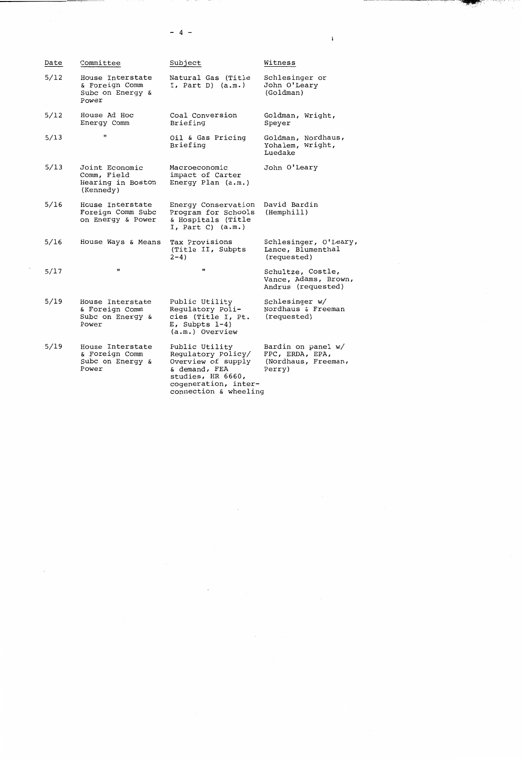| Date | Committee                                                       | Subject                                                                                                                                           | Witness                                                                |
|------|-----------------------------------------------------------------|---------------------------------------------------------------------------------------------------------------------------------------------------|------------------------------------------------------------------------|
| 5/12 | House Interstate<br>& Foreign Comm<br>Subc on Energy &<br>Power | Natural Gas (Title<br>I, Part D) $(a.m.)$                                                                                                         | Schlesinger or<br>John O'Leary<br>(Goldman)                            |
| 5/12 | House Ad Hoc<br>Energy Comm                                     | Coal Conversion<br>Briefing                                                                                                                       | Goldman, Wright,<br>Speyer                                             |
| 5/13 | Ħ                                                               | Oil & Gas Pricing<br>Briefing                                                                                                                     | Goldman, Nordhaus,<br>Yohalem, Wright,<br>Luedake                      |
| 5/13 | Joint Economic<br>Comm, Field<br>Hearing in Boston<br>(Kennedy) | Macroeconomic<br>impact of Carter<br>Energy Plan $(a.m.)$                                                                                         | John O'Leary                                                           |
| 5/16 | House Interstate<br>Foreign Comm Subc<br>on Energy & Power      | Energy Conservation<br>Program for Schools<br>& Hospitals (Title<br>I, Part C) $(a.m.)$                                                           | David Bardin<br>(Hemphill)                                             |
| 5/16 | House Ways & Means                                              | Tax Provisions<br>(Title II, Subpts<br>$2 - 4$ )                                                                                                  | Schlesinger, O'Leary,<br>Lance, Blumenthal<br>(requested)              |
| 5/17 | 11                                                              | 11                                                                                                                                                | Schultze, Costle,<br>Vance, Adams, Brown,<br>Andrus (requested)        |
| 5/19 | House Interstate<br>& Foreign Comm<br>Subc on Energy &<br>Power | Public Utility<br>Regulatory Poli-<br>cies (Title I, Pt.<br>$E$ , Subpts $1-4$ )<br>(a.m.) Overview                                               | Schlesinger w/<br>Nordhaus & Freeman<br>(requested)                    |
| 5/19 | House Interstate<br>& Foreign Comm<br>Subc on Energy &<br>Power | Public Utility<br>Regulatory Policy/<br>Overview of supply<br>& demand, FEA<br>studies, HR 6660,<br>cogeneration, inter-<br>connection & wheeling | Bardin on panel w/<br>FPC, ERDA, EPA,<br>(Nordhaus, Freeman,<br>Perry) |

 $\Lambda$ 

 $\sim$ 

 $\sim 10^{-1}$ 

 $\label{eq:2} \frac{1}{2} \sum_{i=1}^n \frac{1}{2} \sum_{j=1}^n \frac{1}{2} \sum_{j=1}^n \frac{1}{2} \sum_{j=1}^n \frac{1}{2} \sum_{j=1}^n \frac{1}{2} \sum_{j=1}^n \frac{1}{2} \sum_{j=1}^n \frac{1}{2} \sum_{j=1}^n \frac{1}{2} \sum_{j=1}^n \frac{1}{2} \sum_{j=1}^n \frac{1}{2} \sum_{j=1}^n \frac{1}{2} \sum_{j=1}^n \frac{1}{2} \sum_{j=1}^n \frac{1}{$